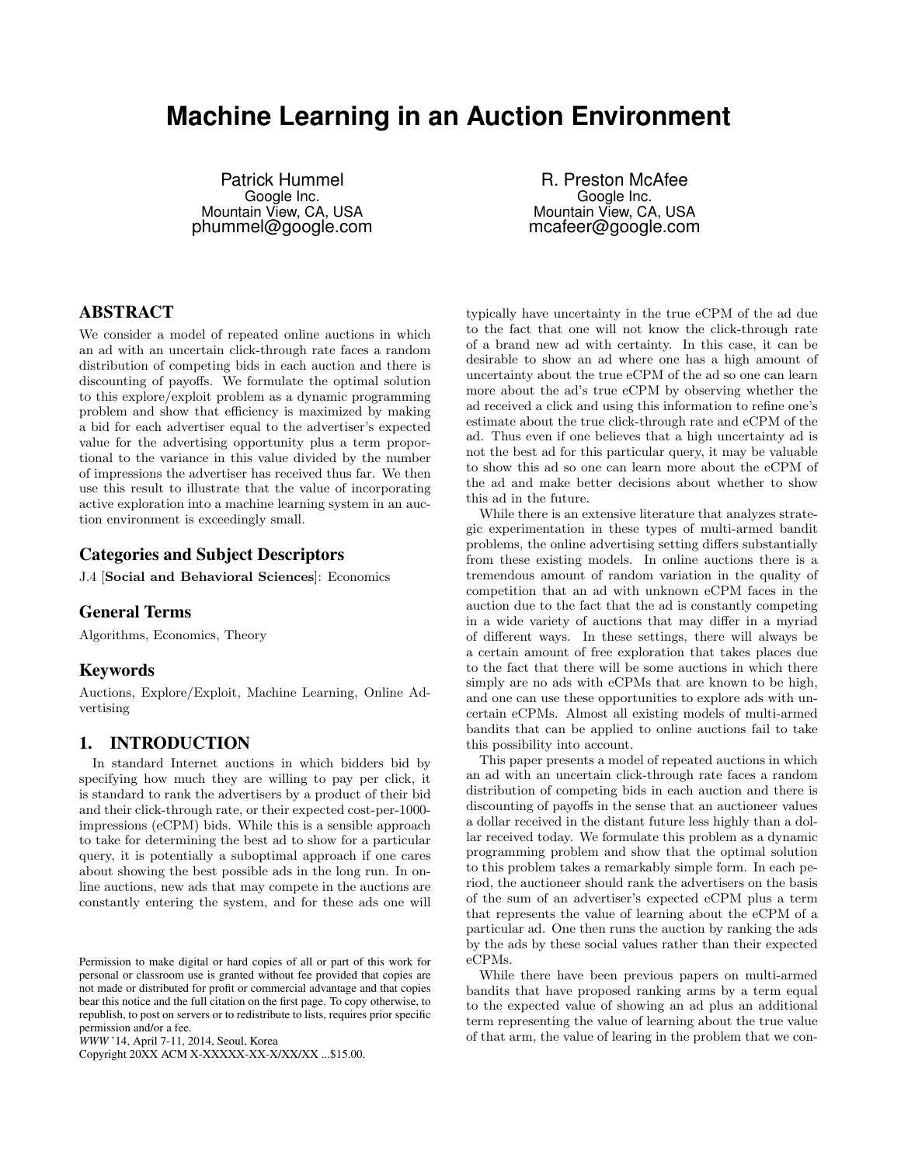# **Machine Learning in an Auction Environment**

Patrick Hummel Google Inc. Mountain View, CA, USA phummel@google.com

R. Preston McAfee Google Inc. Mountain View, CA, USA mcafeer@google.com

# ABSTRACT

We consider a model of repeated online auctions in which an ad with an uncertain click-through rate faces a random distribution of competing bids in each auction and there is discounting of payoffs. We formulate the optimal solution to this explore/exploit problem as a dynamic programming problem and show that efficiency is maximized by making a bid for each advertiser equal to the advertiser's expected value for the advertising opportunity plus a term proportional to the variance in this value divided by the number of impressions the advertiser has received thus far. We then use this result to illustrate that the value of incorporating active exploration into a machine learning system in an auction environment is exceedingly small.

## Categories and Subject Descriptors

J.4 [Social and Behavioral Sciences]: Economics

#### General Terms

Algorithms, Economics, Theory

#### Keywords

Auctions, Explore/Exploit, Machine Learning, Online Advertising

# 1. INTRODUCTION

In standard Internet auctions in which bidders bid by specifying how much they are willing to pay per click, it is standard to rank the advertisers by a product of their bid and their click-through rate, or their expected cost-per-1000 impressions (eCPM) bids. While this is a sensible approach to take for determining the best ad to show for a particular query, it is potentially a suboptimal approach if one cares about showing the best possible ads in the long run. In online auctions, new ads that may compete in the auctions are constantly entering the system, and for these ads one will

*WWW* '14, April 7-11, 2014, Seoul, Korea

Copyright 20XX ACM X-XXXXX-XX-X/XX/XX ...\$15.00.

typically have uncertainty in the true eCPM of the ad due to the fact that one will not know the click-through rate of a brand new ad with certainty. In this case, it can be desirable to show an ad where one has a high amount of uncertainty about the true eCPM of the ad so one can learn more about the ad's true eCPM by observing whether the ad received a click and using this information to refine one's estimate about the true click-through rate and eCPM of the ad. Thus even if one believes that a high uncertainty ad is not the best ad for this particular query, it may be valuable to show this ad so one can learn more about the eCPM of the ad and make better decisions about whether to show this ad in the future.

While there is an extensive literature that analyzes strategic experimentation in these types of multi-armed bandit problems, the online advertising setting differs substantially from these existing models. In online auctions there is a tremendous amount of random variation in the quality of competition that an ad with unknown eCPM faces in the auction due to the fact that the ad is constantly competing in a wide variety of auctions that may differ in a myriad of different ways. In these settings, there will always be a certain amount of free exploration that takes places due to the fact that there will be some auctions in which there simply are no ads with eCPMs that are known to be high, and one can use these opportunities to explore ads with uncertain eCPMs. Almost all existing models of multi-armed bandits that can be applied to online auctions fail to take this possibility into account.

This paper presents a model of repeated auctions in which an ad with an uncertain click-through rate faces a random distribution of competing bids in each auction and there is discounting of payoffs in the sense that an auctioneer values a dollar received in the distant future less highly than a dollar received today. We formulate this problem as a dynamic programming problem and show that the optimal solution to this problem takes a remarkably simple form. In each period, the auctioneer should rank the advertisers on the basis of the sum of an advertiser's expected eCPM plus a term that represents the value of learning about the eCPM of a particular ad. One then runs the auction by ranking the ads by the ads by these social values rather than their expected eCPMs.

While there have been previous papers on multi-armed bandits that have proposed ranking arms by a term equal to the expected value of showing an ad plus an additional term representing the value of learning about the true value of that arm, the value of learing in the problem that we con-

Permission to make digital or hard copies of all or part of this work for personal or classroom use is granted without fee provided that copies are not made or distributed for profit or commercial advantage and that copies bear this notice and the full citation on the first page. To copy otherwise, to republish, to post on servers or to redistribute to lists, requires prior specific permission and/or a fee.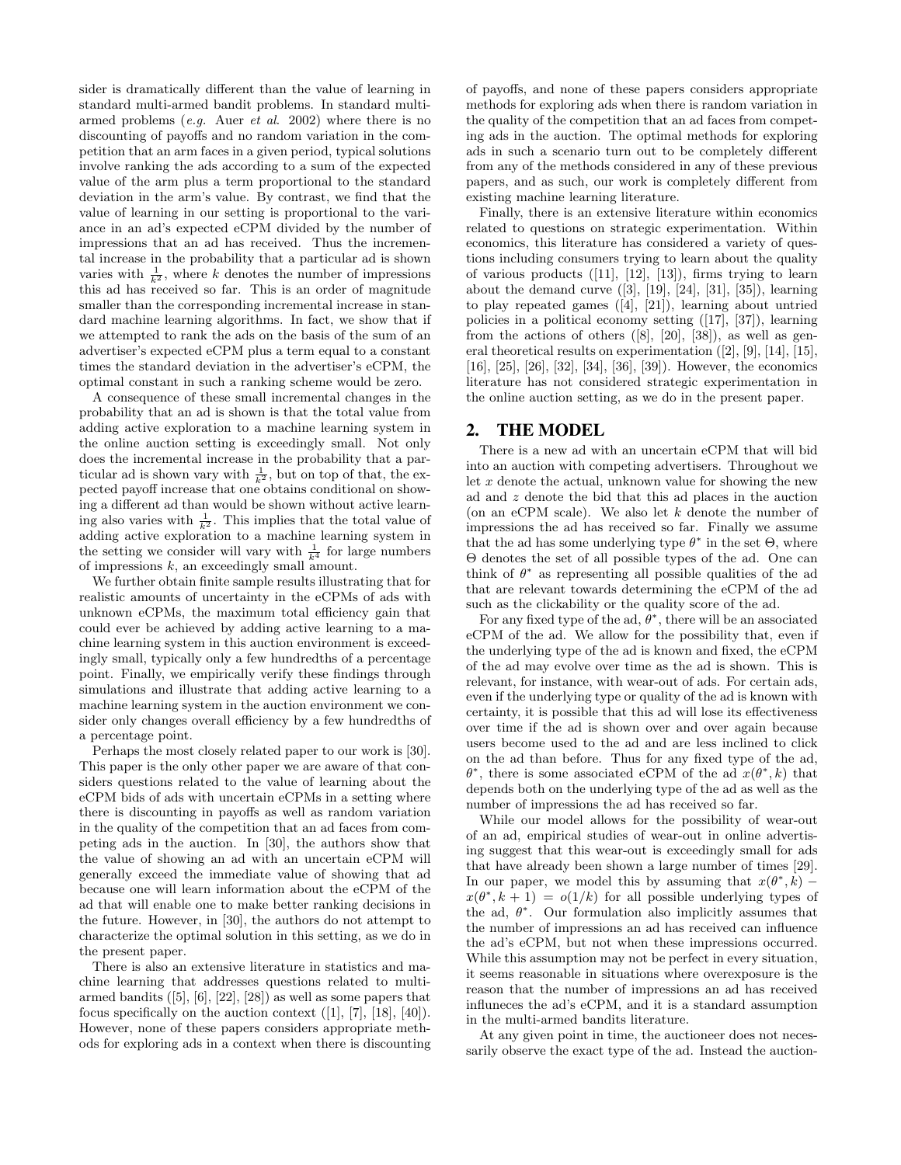sider is dramatically different than the value of learning in standard multi-armed bandit problems. In standard multiarmed problems (e.g. Auer et al. 2002) where there is no discounting of payoffs and no random variation in the competition that an arm faces in a given period, typical solutions involve ranking the ads according to a sum of the expected value of the arm plus a term proportional to the standard deviation in the arm's value. By contrast, we find that the value of learning in our setting is proportional to the variance in an ad's expected eCPM divided by the number of impressions that an ad has received. Thus the incremental increase in the probability that a particular ad is shown varies with  $\frac{1}{k^2}$ , where k denotes the number of impressions this ad has received so far. This is an order of magnitude smaller than the corresponding incremental increase in standard machine learning algorithms. In fact, we show that if we attempted to rank the ads on the basis of the sum of an advertiser's expected eCPM plus a term equal to a constant times the standard deviation in the advertiser's eCPM, the optimal constant in such a ranking scheme would be zero.

A consequence of these small incremental changes in the probability that an ad is shown is that the total value from adding active exploration to a machine learning system in the online auction setting is exceedingly small. Not only does the incremental increase in the probability that a particular ad is shown vary with  $\frac{1}{k^2}$ , but on top of that, the expected payoff increase that one obtains conditional on showing a different ad than would be shown without active learning also varies with  $\frac{1}{k^2}$ . This implies that the total value of adding active exploration to a machine learning system in the setting we consider will vary with  $\frac{1}{k^4}$  for large numbers of impressions  $k$ , an exceedingly small amount.

We further obtain finite sample results illustrating that for realistic amounts of uncertainty in the eCPMs of ads with unknown eCPMs, the maximum total efficiency gain that could ever be achieved by adding active learning to a machine learning system in this auction environment is exceedingly small, typically only a few hundredths of a percentage point. Finally, we empirically verify these findings through simulations and illustrate that adding active learning to a machine learning system in the auction environment we consider only changes overall efficiency by a few hundredths of a percentage point.

Perhaps the most closely related paper to our work is [30]. This paper is the only other paper we are aware of that considers questions related to the value of learning about the eCPM bids of ads with uncertain eCPMs in a setting where there is discounting in payoffs as well as random variation in the quality of the competition that an ad faces from competing ads in the auction. In [30], the authors show that the value of showing an ad with an uncertain eCPM will generally exceed the immediate value of showing that ad because one will learn information about the eCPM of the ad that will enable one to make better ranking decisions in the future. However, in [30], the authors do not attempt to characterize the optimal solution in this setting, as we do in the present paper.

There is also an extensive literature in statistics and machine learning that addresses questions related to multiarmed bandits  $([5], [6], [22], [28])$  as well as some papers that focus specifically on the auction context  $([1], [7], [18], [40])$ . However, none of these papers considers appropriate methods for exploring ads in a context when there is discounting of payoffs, and none of these papers considers appropriate methods for exploring ads when there is random variation in the quality of the competition that an ad faces from competing ads in the auction. The optimal methods for exploring ads in such a scenario turn out to be completely different from any of the methods considered in any of these previous papers, and as such, our work is completely different from existing machine learning literature.

Finally, there is an extensive literature within economics related to questions on strategic experimentation. Within economics, this literature has considered a variety of questions including consumers trying to learn about the quality of various products ([11], [12], [13]), firms trying to learn about the demand curve  $([3], [19], [24], [31], [35])$ , learning to play repeated games ([4], [21]), learning about untried policies in a political economy setting ([17], [37]), learning from the actions of others  $([8], [20], [38])$ , as well as general theoretical results on experimentation ([2], [9], [14], [15], [16], [25], [26], [32], [34], [36], [39]). However, the economics literature has not considered strategic experimentation in the online auction setting, as we do in the present paper.

#### 2. THE MODEL

There is a new ad with an uncertain eCPM that will bid into an auction with competing advertisers. Throughout we let  $x$  denote the actual, unknown value for showing the new ad and z denote the bid that this ad places in the auction (on an eCPM scale). We also let  $k$  denote the number of impressions the ad has received so far. Finally we assume that the ad has some underlying type  $\theta^*$  in the set  $\Theta$ , where Θ denotes the set of all possible types of the ad. One can think of  $\theta^*$  as representing all possible qualities of the ad that are relevant towards determining the eCPM of the ad such as the clickability or the quality score of the ad.

For any fixed type of the ad,  $\theta^*$ , there will be an associated eCPM of the ad. We allow for the possibility that, even if the underlying type of the ad is known and fixed, the eCPM of the ad may evolve over time as the ad is shown. This is relevant, for instance, with wear-out of ads. For certain ads, even if the underlying type or quality of the ad is known with certainty, it is possible that this ad will lose its effectiveness over time if the ad is shown over and over again because users become used to the ad and are less inclined to click on the ad than before. Thus for any fixed type of the ad,  $\theta^*$ , there is some associated eCPM of the ad  $x(\theta^*, k)$  that depends both on the underlying type of the ad as well as the number of impressions the ad has received so far.

While our model allows for the possibility of wear-out of an ad, empirical studies of wear-out in online advertising suggest that this wear-out is exceedingly small for ads that have already been shown a large number of times [29]. In our paper, we model this by assuming that  $x(\theta^*, k)$  –  $x(\theta^*, k+1) = o(1/k)$  for all possible underlying types of the ad,  $\theta^*$ . Our formulation also implicitly assumes that the number of impressions an ad has received can influence the ad's eCPM, but not when these impressions occurred. While this assumption may not be perfect in every situation, it seems reasonable in situations where overexposure is the reason that the number of impressions an ad has received influneces the ad's eCPM, and it is a standard assumption in the multi-armed bandits literature.

At any given point in time, the auctioneer does not necessarily observe the exact type of the ad. Instead the auction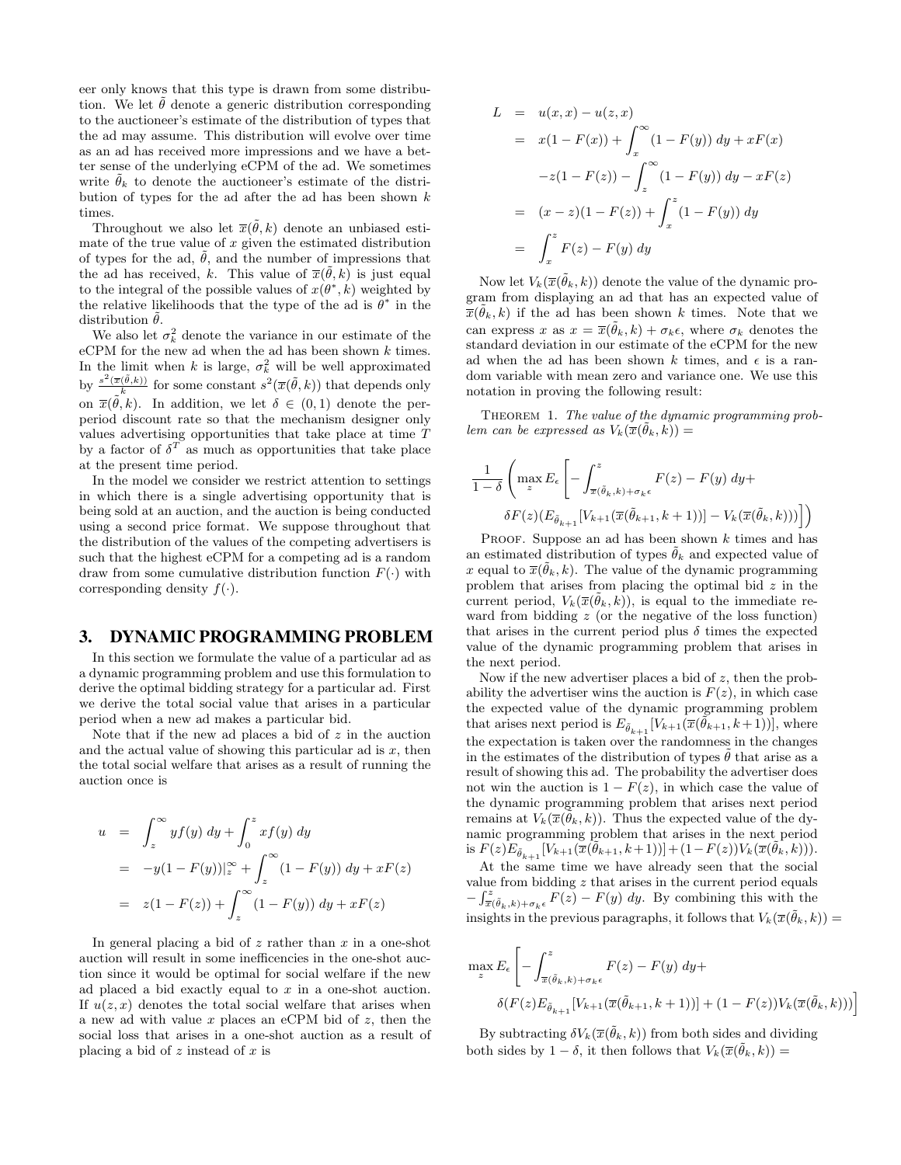eer only knows that this type is drawn from some distribution. We let  $\tilde{\theta}$  denote a generic distribution corresponding to the auctioneer's estimate of the distribution of types that the ad may assume. This distribution will evolve over time as an ad has received more impressions and we have a better sense of the underlying eCPM of the ad. We sometimes write  $\theta_k$  to denote the auctioneer's estimate of the distribution of types for the ad after the ad has been shown  $k$ times.

Throughout we also let  $\overline{x}(\tilde{\theta}, k)$  denote an unbiased estimate of the true value of  $x$  given the estimated distribution of types for the ad,  $\ddot{\theta}$ , and the number of impressions that the ad has received, k. This value of  $\overline{x}(\tilde{\theta},k)$  is just equal to the integral of the possible values of  $x(\theta^*, k)$  weighted by the relative likelihoods that the type of the ad is  $\theta^*$  in the distribution  $\theta$ .

We also let  $\sigma_k^2$  denote the variance in our estimate of the eCPM for the new ad when the ad has been shown  $k$  times. In the limit when k is large,  $\sigma_k^2$  will be well approximated by  $\frac{s^2(\overline{x}(\tilde{\theta},k))}{k}$  for some constant  $s^2(\overline{x}(\tilde{\theta},k))$  that depends only on  $\overline{x}(\tilde{\theta},k)$ . In addition, we let  $\delta \in (0,1)$  denote the perperiod discount rate so that the mechanism designer only values advertising opportunities that take place at time T by a factor of  $\delta^T$  as much as opportunities that take place at the present time period.

In the model we consider we restrict attention to settings in which there is a single advertising opportunity that is being sold at an auction, and the auction is being conducted using a second price format. We suppose throughout that the distribution of the values of the competing advertisers is such that the highest eCPM for a competing ad is a random draw from some cumulative distribution function  $F(\cdot)$  with corresponding density  $f(\cdot)$ .

#### 3. DYNAMIC PROGRAMMING PROBLEM

In this section we formulate the value of a particular ad as a dynamic programming problem and use this formulation to derive the optimal bidding strategy for a particular ad. First we derive the total social value that arises in a particular period when a new ad makes a particular bid.

Note that if the new ad places a bid of  $z$  in the auction and the actual value of showing this particular ad is  $x$ , then the total social welfare that arises as a result of running the auction once is

$$
u = \int_{z}^{\infty} y f(y) \, dy + \int_{0}^{z} x f(y) \, dy
$$
  
=  $-y(1 - F(y))|_{z}^{\infty} + \int_{z}^{\infty} (1 - F(y)) \, dy + xF(z)$   
=  $z(1 - F(z)) + \int_{z}^{\infty} (1 - F(y)) \, dy + xF(z)$ 

In general placing a bid of  $z$  rather than  $x$  in a one-shot auction will result in some inefficencies in the one-shot auction since it would be optimal for social welfare if the new ad placed a bid exactly equal to  $x$  in a one-shot auction. If  $u(z, x)$  denotes the total social welfare that arises when a new ad with value  $x$  places an eCPM bid of  $z$ , then the social loss that arises in a one-shot auction as a result of placing a bid of  $z$  instead of  $x$  is

$$
L = u(x, x) - u(z, x)
$$
  
=  $x(1 - F(x)) + \int_x^{\infty} (1 - F(y)) dy + xF(x)$   
 $-z(1 - F(z)) - \int_z^{\infty} (1 - F(y)) dy - xF(z)$   
=  $(x - z)(1 - F(z)) + \int_x^z (1 - F(y)) dy$   
=  $\int_x^z F(z) - F(y) dy$ 

Now let  $V_k(\overline{x}(\tilde{\theta}_k, k))$  denote the value of the dynamic program from displaying an ad that has an expected value of  $\overline{\overline{x}}(\tilde{\theta}_k, k)$  if the ad has been shown k times. Note that we can express x as  $x = \overline{x}(\tilde{\theta}_k, k) + \sigma_k \epsilon$ , where  $\sigma_k$  denotes the standard deviation in our estimate of the eCPM for the new ad when the ad has been shown k times, and  $\epsilon$  is a random variable with mean zero and variance one. We use this notation in proving the following result:

THEOREM 1. The value of the dynamic programming problem can be expressed as  $V_k(\overline{x}(\tilde{\theta}_k, k)) =$ 

$$
\frac{1}{1-\delta} \left( \max_{z} E_{\epsilon} \left[ - \int_{\overline{x}(\tilde{\theta}_{k}, k) + \sigma_{k} \epsilon}^{z} F(z) - F(y) \, dy + \right. \right. \left. \delta F(z) (E_{\tilde{\theta}_{k+1}} [V_{k+1}(\overline{x}(\tilde{\theta}_{k+1}, k+1))] - V_{k}(\overline{x}(\tilde{\theta}_{k}, k))) \right] \right)
$$

PROOF. Suppose an ad has been shown  $k$  times and has an estimated distribution of types  $\theta_k$  and expected value of x equal to  $\bar{x}(\tilde{\theta}_k, k)$ . The value of the dynamic programming problem that arises from placing the optimal bid z in the current period,  $V_k(\overline{x}(\tilde{\theta}_k, k))$ , is equal to the immediate reward from bidding  $z$  (or the negative of the loss function) that arises in the current period plus  $\delta$  times the expected value of the dynamic programming problem that arises in the next period.

Now if the new advertiser places a bid of  $z$ , then the probability the advertiser wins the auction is  $F(z)$ , in which case the expected value of the dynamic programming problem that arises next period is  $E_{\tilde{\theta}_{k+1}}[V_{k+1}(\overline{x}(\tilde{\theta}_{k+1},k+1))],$  where the expectation is taken over the randomness in the changes in the estimates of the distribution of types  $\hat{\theta}$  that arise as a result of showing this ad. The probability the advertiser does not win the auction is  $1 - F(z)$ , in which case the value of the dynamic programming problem that arises next period remains at  $V_k(\overline{x}(\theta_k, k))$ . Thus the expected value of the dynamic programming problem that arises in the next period is  $F(z)\widetilde{E}_{\widetilde{\theta}_{k+1}}[V_{k+1}(\overline{x}(\widetilde{\theta}_{k+1},k+1))] + (1-F(z))V_k(\overline{x}(\widetilde{\theta}_{k},k))).$ 

At the same time we have already seen that the social value from bidding  $z$  that arises in the current period equals  $-\int_{\overline{x}(\tilde{\theta}_k,k)+\sigma_k \epsilon}^z F(z) - F(y) \, dy$ . By combining this with the insights in the previous paragraphs, it follows that  $V_k(\overline{x}(\tilde{\theta}_k, k)) =$ 

$$
\max_{z} E_{\epsilon} \left[ - \int_{\overline{x}(\tilde{\theta}_k, k) + \sigma_k \epsilon}^{z} F(z) - F(y) \, dy + \right.
$$
  

$$
\delta(F(z) E_{\tilde{\theta}_{k+1}} [V_{k+1}(\overline{x}(\tilde{\theta}_{k+1}, k+1))] + (1 - F(z)) V_k(\overline{x}(\tilde{\theta}_k, k))) \right]
$$

By subtracting  $\delta V_k(\overline{x}(\tilde{\theta}_k, k))$  from both sides and dividing both sides by  $1 - \delta$ , it then follows that  $V_k(\overline{x}(\tilde{\theta}_k, k)) =$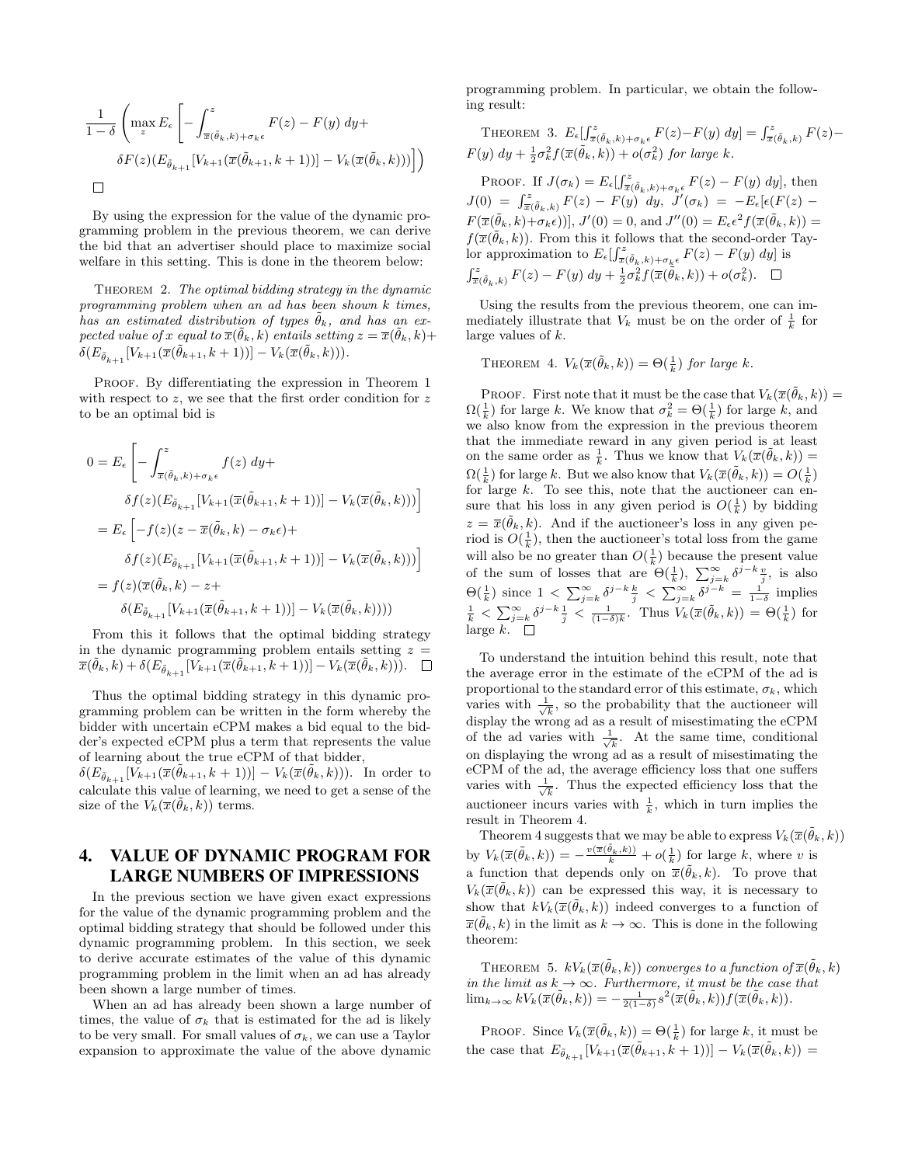$$
\frac{1}{1-\delta} \left( \max_{z} E_{\epsilon} \left[ - \int_{\overline{x}(\tilde{\theta}_{k}, k) + \sigma_{k} \epsilon}^{z} F(z) - F(y) \, dy + \right. \right. \left. \delta F(z) (E_{\tilde{\theta}_{k+1}} [V_{k+1}(\overline{x}(\tilde{\theta}_{k+1}, k+1))] - V_{k}(\overline{x}(\tilde{\theta}_{k}, k))) \right] \right)
$$

By using the expression for the value of the dynamic programming problem in the previous theorem, we can derive the bid that an advertiser should place to maximize social welfare in this setting. This is done in the theorem below:

THEOREM 2. The optimal bidding strategy in the dynamic programming problem when an ad has been shown k times, has an estimated distribution of types  $\hat{\theta}_k$ , and has an expected value of x equal to  $\overline{x}(\tilde{\theta}_k, k)$  entails setting  $z = \overline{x}(\tilde{\theta}_k, k) +$  $\delta(E_{\tilde{\theta}_{k+1}}[V_{k+1}(\overline{x}(\tilde{\theta}_{k+1},k+1))] - V_k(\overline{x}(\tilde{\theta}_k,k))).$ 

PROOF. By differentiating the expression in Theorem 1 with respect to  $z$ , we see that the first order condition for  $z$ to be an optimal bid is

$$
0 = E_{\epsilon} \left[ - \int_{\overline{x}(\tilde{\theta}_k, k) + \sigma_k \epsilon}^z f(z) dy + \right.
$$
  
\n
$$
\delta f(z) (E_{\tilde{\theta}_{k+1}} [V_{k+1}(\overline{x}(\tilde{\theta}_{k+1}, k+1))] - V_k(\overline{x}(\tilde{\theta}_k, k))) \right]
$$
  
\n
$$
= E_{\epsilon} \left[ -f(z)(z - \overline{x}(\tilde{\theta}_k, k) - \sigma_k \epsilon) + \right.
$$
  
\n
$$
\delta f(z) (E_{\tilde{\theta}_{k+1}} [V_{k+1}(\overline{x}(\tilde{\theta}_{k+1}, k+1))] - V_k(\overline{x}(\tilde{\theta}_k, k))) \right]
$$
  
\n
$$
= f(z) (\overline{x}(\tilde{\theta}_k, k) - z + \delta (E_{\tilde{\theta}_{k+1}} [V_{k+1}(\overline{x}(\tilde{\theta}_{k+1}, k+1))] - V_k(\overline{x}(\tilde{\theta}_k, k))))
$$

From this it follows that the optimal bidding strategy in the dynamic programming problem entails setting  $z =$  $\overline{x}(\tilde{\theta}_k, k) + \delta(E_{\tilde{\theta}_{k+1}}[V_{k+1}(\overline{x}(\tilde{\theta}_{k+1}, k+1))] - V_k(\overline{x}(\tilde{\theta}_k, k)))$ .

Thus the optimal bidding strategy in this dynamic programming problem can be written in the form whereby the bidder with uncertain eCPM makes a bid equal to the bidder's expected eCPM plus a term that represents the value of learning about the true eCPM of that bidder,

 $\delta(E_{\tilde{\theta}_{k+1}}[\tilde{V_{k+1}}(\overline{x}(\tilde{\theta}_{k+1},k+1))] - V_k(\overline{x}(\tilde{\theta}_{k},k)))$ . In order to calculate this value of learning, we need to get a sense of the size of the  $V_k(\overline{x}(\tilde{\theta}_k, k))$  terms.

# 4. VALUE OF DYNAMIC PROGRAM FOR LARGE NUMBERS OF IMPRESSIONS

In the previous section we have given exact expressions for the value of the dynamic programming problem and the optimal bidding strategy that should be followed under this dynamic programming problem. In this section, we seek to derive accurate estimates of the value of this dynamic programming problem in the limit when an ad has already been shown a large number of times.

When an ad has already been shown a large number of times, the value of  $\sigma_k$  that is estimated for the ad is likely to be very small. For small values of  $\sigma_k$ , we can use a Taylor expansion to approximate the value of the above dynamic programming problem. In particular, we obtain the following result:

THEOREM 3. 
$$
E_{\epsilon}[\int_{\overline{x}(\tilde{\theta}_k,k)+\sigma_k \epsilon}^z F(z)-F(y) dy] = \int_{\overline{x}(\tilde{\theta}_k,k)}^z F(z)-F(y) dy + \frac{1}{2}\sigma_k^2 f(\overline{x}(\tilde{\theta}_k,k)) + o(\sigma_k^2)
$$
 for large k.

PROOF. If  $J(\sigma_k) = E_{\epsilon} \left[ \int_{\overline{x}}^z (\tilde{\theta}_k, k) + \sigma_k \epsilon F(z) - F(y) dy \right]$ , then  $J(0) = \int_{\bar{x}(\tilde{\theta}_k,k)}^z F(z) - F(y) \, dy, \, J'(\sigma_k) = -E_{\epsilon}[\epsilon(F(z) F(\overline{x}(\tilde{\theta}_k, k) + \sigma_k \epsilon))$ ,  $J'(0) = 0$ , and  $J''(0) = E_{\epsilon} \epsilon^2 f(\overline{x}(\tilde{\theta}_k, k)) =$  $f(\overline{x}(\tilde{\theta}_k, k))$ . From this it follows that the second-order Taylor approximation to  $E_{\epsilon}[\int_{\overline{x}(\tilde{\theta}_k,k)+\sigma_k \epsilon}^z F(z) - F(y) dy]$  is  $\int_{\overline{x}(\tilde{\theta}_k,k)}^z F(z) - F(y) \, dy + \frac{1}{2} \sigma_k^2 f(\overline{x}(\tilde{\theta}_k,k)) + o(\sigma_k^2).$ 

Using the results from the previous theorem, one can immediately illustrate that  $V_k$  must be on the order of  $\frac{1}{k}$  for large values of k.

THEOREM 4.  $V_k(\overline{x}(\tilde{\theta}_k,k)) = \Theta(\frac{1}{k})$  for large k.

PROOF. First note that it must be the case that  $V_k(\overline{x}(\tilde{\theta}_k, k)) =$  $\Omega(\frac{1}{k})$  for large k. We know that  $\sigma_k^2 = \Theta(\frac{1}{k})$  for large k, and we also know from the expression in the previous theorem that the immediate reward in any given period is at least on the same order as  $\frac{1}{k}$ . Thus we know that  $V_k(\overline{x}(\tilde{\theta}_k, k)) =$  $\Omega(\frac{1}{k})$  for large k. But we also know that  $V_k(\overline{x}(\tilde{\theta}_k, k)) = O(\frac{1}{k})$ for large  $k$ . To see this, note that the auctioneer can ensure that his loss in any given period is  $O(\frac{1}{k})$  by bidding  $z = \overline{x}(\tilde{\theta}_k, k)$ . And if the auctioneer's loss in any given period is  $O(\frac{1}{k})$ , then the auctioneer's total loss from the game will also be no greater than  $O(\frac{1}{k})$  because the present value of the sum of losses that are  $\Theta(\frac{1}{k})$ ,  $\sum_{j=k}^{\infty} \delta^{j-k} \frac{v}{j}$ , is also  $\Theta(\frac{1}{k})$  since  $1 < \sum_{j=k}^{\infty} \delta^{j-k} \frac{k}{j} < \sum_{j=k}^{\infty} \delta^{j-k} = \frac{1}{1-\delta}$  implies  $\frac{1}{k} < \sum_{j=k}^{\infty} \delta^{j-k} \frac{1}{j} < \frac{1}{(1-\delta)k}$ . Thus  $V_k(\overline{x}(\tilde{\theta}_k, k)) = \Theta(\frac{1}{k})$  for large  $k$ .  $\square$ 

To understand the intuition behind this result, note that the average error in the estimate of the eCPM of the ad is proportional to the standard error of this estimate,  $\sigma_k$ , which varies with  $\frac{1}{\sqrt{k}}$ , so the probability that the auctioneer will display the wrong ad as a result of misestimating the eCPM of the ad varies with  $\frac{1}{\sqrt{k}}$ . At the same time, conditional on displaying the wrong ad as a result of misestimating the eCPM of the ad, the average efficiency loss that one suffers varies with  $\frac{1}{\sqrt{k}}$ . Thus the expected efficiency loss that the auctioneer incurs varies with  $\frac{1}{k}$ , which in turn implies the result in Theorem 4.

Theorem 4 suggests that we may be able to express  $V_k(\overline{x}(\tilde{\theta}_k, k))$ by  $V_k(\overline{x}(\tilde{\theta}_k, k)) = -\frac{v(\overline{x}(\tilde{\theta}_k, k))}{k} + o(\frac{1}{k})$  for large k, where v is a function that depends only on  $\overline{x}(\tilde{\theta}_k, k)$ . To prove that  $V_k(\overline{x}(\tilde{\theta}_k, k))$  can be expressed this way, it is necessary to show that  $kV_k(\overline{x}(\tilde{\theta}_k, k))$  indeed converges to a function of  $\overline{x}(\tilde{\theta}_k, k)$  in the limit as  $k \to \infty$ . This is done in the following theorem:

THEOREM 5.  $kV_k(\overline{x}(\widetilde{\theta}_k,k))$  converges to a function of  $\overline{x}(\widetilde{\theta}_k,k)$ in the limit as  $k \to \infty$ . Furthermore, it must be the case that  $\lim_{k\to\infty} kV_k(\overline{x}(\tilde{\theta}_k,k)) = -\frac{1}{2(1-\delta)}s^2(\overline{x}(\tilde{\theta}_k,k))f(\overline{x}(\tilde{\theta}_k,k)).$ 

PROOF. Since  $V_k(\overline{x}(\tilde{\theta}_k, k)) = \Theta(\frac{1}{k})$  for large k, it must be the case that  $E_{\tilde{\theta}_{k+1}}[V_{k+1}(\overline{x}(\tilde{\theta}_{k+1},k+1))] - V_k(\overline{x}(\tilde{\theta}_k,k)) =$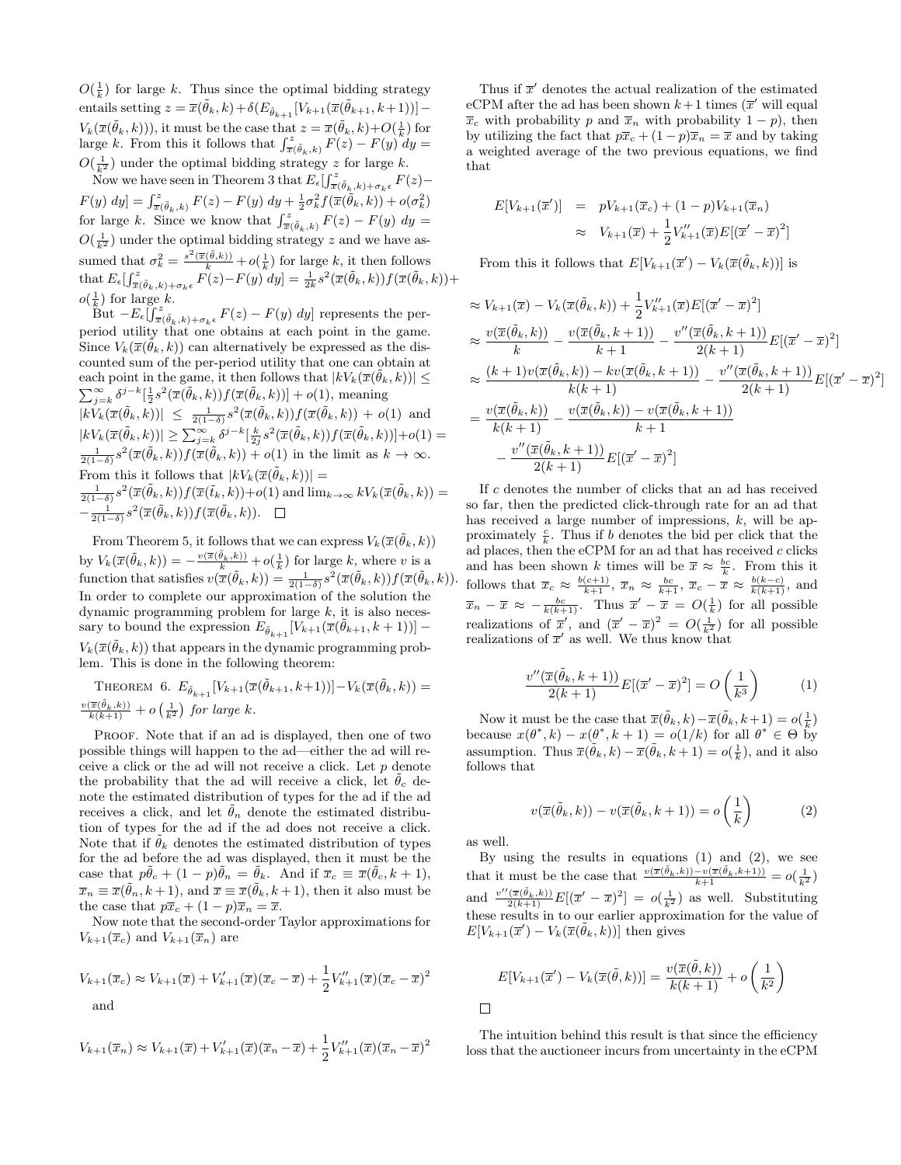$O(\frac{1}{k})$  for large k. Thus since the optimal bidding strategy entails setting  $z = \overline{x}(\tilde{\theta}_k, k) + \delta(E_{\tilde{\theta}_{k+1}}[V_{k+1}(\overline{x}(\tilde{\theta}_{k+1}, k+1))] V_k(\overline{x}(\tilde{\theta}_k, k)))$ , it must be the case that  $z = \overline{x}(\tilde{\theta}_k, k) + O(\frac{1}{k})$  for large k. From this it follows that  $\int_{\overline{x}(\tilde{\theta}_k,k)}^z F(z) - F(y) dy =$  $O(\frac{1}{k^2})$  under the optimal bidding strategy z for large k.

Now we have seen in Theorem 3 that  $E_{\epsilon}[\int_{\overline{x}(\tilde{\theta}_k,k)+\sigma_k \epsilon}^z F(z) F(y) dy = \int_{\bar{x}(\tilde{\theta}_k, k)}^z F(z) - F(y) dy + \frac{1}{2} \sigma_k^2 f(\bar{x}(\tilde{\theta}_k, k)) + o(\sigma_k^2)$ for large k. Since we know that  $\int_{\overline{x}(\tilde{\theta}_k,k)}^z F(z) - F(y) dy =$  $O(\frac{1}{k^2})$  under the optimal bidding strategy z and we have assumed that  $\sigma_k^2 = \frac{s^2(\overline{x}(\tilde{\theta},k))}{k} + o(\frac{1}{k})$  for large k, it then follows that  $E_{\epsilon}[\int_{\overline{x}(\tilde{\theta}_k,k)+\sigma_k \epsilon}^{\infty} F(z)-F(y) dy] = \frac{1}{2k} s^2(\overline{x}(\tilde{\theta}_k,k))f(\overline{x}(\tilde{\theta}_k,k))+$  $o(\frac{1}{k})$  for large k.

But  $-E_{\epsilon} \left[ \int_{\overline{x}}^z (\tilde{\theta}_{k},k) + \sigma_k \epsilon} F(z) - F(y) dy \right]$  represents the perperiod utility that one obtains at each point in the game. Since  $V_k(\overline{x}(\tilde{\theta}_k, k))$  can alternatively be expressed as the discounted sum of the per-period utility that one can obtain at each point in the game, it then follows that  $|kV_k(\overline{x}(\tilde{\theta}_k, k))| \leq$  $\sum_{j=k}^{\infty} \delta^{j-k} \left[\frac{1}{2} s^2(\overline{x}(\tilde{\theta}_k, k)) f(\overline{x}(\tilde{\theta}_k, k))\right] + o(1)$ , meaning  $|k\tilde{V}_k(\overline{x}(\tilde{\theta}_k, k))| \leq \frac{1}{2(1-\delta)}s^2(\overline{x}(\tilde{\theta}_k, k))f(\overline{x}(\tilde{\theta}_k, k)) + o(1)$  and  $|kV_k(\overline{x}(\tilde{\theta}_k, k))| \geq \sum_{j=k}^{\infty} \delta^{j-k} \left[\frac{k}{2j} s^2(\overline{x}(\tilde{\theta}_k, k)) f(\overline{x}(\tilde{\theta}_k, k))\right] + o(1) =$  $\frac{1}{2(1-\delta)}s^2(\overline{x}(\tilde{\theta}_k,k))f(\overline{x}(\tilde{\theta}_k,k)) + o(1)$  in the limit as  $k \to \infty$ . From this it follows that  $|kV_k(\overline{x}(\tilde{\theta}_k, k))| =$  $\frac{1}{2(1-\delta)}s^2(\overline{x}(\tilde{\theta}_k,k))f(\overline{x}(\tilde{t}_k,k))+o(1)$  and  $\lim_{k\to\infty}kV_k(\overline{x}(\tilde{\theta}_k,k))=$  $-\frac{1}{2(1-\delta)}s^2(\overline{x}(\tilde{\theta}_k,k))f(\overline{x}(\tilde{\theta}_k,k)).$ 

From Theorem 5, it follows that we can express  $V_k(\overline{x}(\tilde{\theta}_k, k))$ by  $V_k(\overline{x}(\tilde{\theta}_k, k)) = -\frac{v(\overline{x}(\tilde{\theta}_k, k))}{k} + o(\frac{1}{k})$  for large k, where v is a function that satisfies  $v(\overline{x}(\tilde{\theta}_k, k)) = \frac{1}{2(1-\delta)} s^2(\overline{x}(\tilde{\theta}_k, k)) f(\overline{x}(\tilde{\theta}_k, k)).$ In order to complete our approximation of the solution the dynamic programming problem for large  $k$ , it is also necessary to bound the expression  $E_{\tilde{\theta}_{k+1}}[V_{k+1}(\overline{x}(\tilde{\theta}_{k+1},k+1))]$  –  $V_k(\overline{x}(\tilde{\theta}_k, k))$  that appears in the dynamic programming problem. This is done in the following theorem:

THEOREM 6.  $E_{\tilde{\theta}_{k+1}}[V_{k+1}(\overline{x}(\tilde{\theta}_{k+1},k+1))] - V_k(\overline{x}(\tilde{\theta}_k,k)) =$  $\frac{v(\overline{x}(\tilde{\theta}_k,k))}{k(k+1)} + o\left(\frac{1}{k^2}\right)$  for large k.

PROOF. Note that if an ad is displayed, then one of two possible things will happen to the ad—either the ad will receive a click or the ad will not receive a click. Let p denote the probability that the ad will receive a click, let  $\theta_c$  denote the estimated distribution of types for the ad if the ad receives a click, and let  $\tilde{\theta}_n$  denote the estimated distribution of types for the ad if the ad does not receive a click. Note that if  $\tilde{\theta}_k$  denotes the estimated distribution of types for the ad before the ad was displayed, then it must be the case that  $p\tilde{\theta}_c + (1-p)\tilde{\theta}_n = \tilde{\theta}_k$ . And if  $\overline{x}_c \equiv \overline{x}(\tilde{\theta}_c, k+1)$ ,  $\overline{x}_n \equiv \overline{x}(\tilde{\theta}_n, k+1)$ , and  $\overline{x} \equiv \overline{x}(\tilde{\theta}_k, k+1)$ , then it also must be the case that  $p\overline{x}_c + (1-p)\overline{x}_n = \overline{x}$ .

Now note that the second-order Taylor approximations for  $V_{k+1}(\overline{x}_c)$  and  $V_{k+1}(\overline{x}_n)$  are

$$
V_{k+1}(\overline{x}_c) \approx V_{k+1}(\overline{x}) + V'_{k+1}(\overline{x})(\overline{x}_c - \overline{x}) + \frac{1}{2}V''_{k+1}(\overline{x})(\overline{x}_c - \overline{x})^2
$$
  
and

$$
V_{k+1}(\overline{x}_n) \approx V_{k+1}(\overline{x}) + V'_{k+1}(\overline{x})(\overline{x}_n - \overline{x}) + \frac{1}{2}V''_{k+1}(\overline{x})(\overline{x}_n - \overline{x})^2
$$

Thus if  $\overline{x}'$  denotes the actual realization of the estimated eCPM after the ad has been shown  $k+1$  times  $(\bar{x}'$  will equal  $\overline{x}_c$  with probability p and  $\overline{x}_n$  with probability  $1 - p$ ), then by utilizing the fact that  $p\bar{x}_c + (1-p)\bar{x}_n = \bar{x}$  and by taking a weighted average of the two previous equations, we find that

$$
E[V_{k+1}(\overline{x}')] = pV_{k+1}(\overline{x}_c) + (1-p)V_{k+1}(\overline{x}_n)
$$
  

$$
\approx V_{k+1}(\overline{x}) + \frac{1}{2}V''_{k+1}(\overline{x})E[(\overline{x}' - \overline{x})^2]
$$

From this it follows that  $E[V_{k+1}(\overline{x}') - V_k(\overline{x}(\tilde{\theta}_k, k))]$  is

$$
\approx V_{k+1}(\overline{x}) - V_k(\overline{x}(\tilde{\theta}_k, k)) + \frac{1}{2}V''_{k+1}(\overline{x})E[(\overline{x}' - \overline{x})^2]
$$
  
\n
$$
\approx \frac{v(\overline{x}(\tilde{\theta}_k, k))}{k} - \frac{v(\overline{x}(\tilde{\theta}_k, k+1))}{k+1} - \frac{v''(\overline{x}(\tilde{\theta}_k, k+1))}{2(k+1)}E[(\overline{x}' - \overline{x})^2]
$$
  
\n
$$
\approx \frac{(k+1)v(\overline{x}(\tilde{\theta}_k, k)) - kv(\overline{x}(\tilde{\theta}_k, k+1))}{k(k+1)} - \frac{v''(\overline{x}(\tilde{\theta}_k, k+1))}{2(k+1)}E[(\overline{x}' - \overline{x})^2]
$$
  
\n
$$
= \frac{v(\overline{x}(\tilde{\theta}_k, k))}{k(k+1)} - \frac{v(\overline{x}(\tilde{\theta}_k, k)) - v(\overline{x}(\tilde{\theta}_k, k+1))}{k+1}
$$
  
\n
$$
- \frac{v''(\overline{x}(\tilde{\theta}_k, k+1))}{2(k+1)}E[(\overline{x}' - \overline{x})^2]
$$

If c denotes the number of clicks that an ad has received so far, then the predicted click-through rate for an ad that has received a large number of impressions, k, will be approximately  $\frac{c}{k}$ . Thus if b denotes the bid per click that the ad places, then the eCPM for an ad that has received  $c$  clicks and has been shown k times will be  $\bar{x} \approx \frac{bc}{k}$ . From this it follows that  $\overline{x}_c \approx \frac{b(c+1)}{k+1}, \overline{x}_n \approx \frac{bc}{k+1}, \overline{x}_c - \overline{x} \approx \frac{b(k-c)}{k(k+1)},$  and  $\overline{x}_n - \overline{x} \approx -\frac{bc}{k(k+1)}$ . Thus  $\overline{x}' - \overline{x} = O(\frac{1}{k})$  for all possible realizations of  $\overline{x}'$ , and  $(\overline{x}' - \overline{x})^2 = O(\frac{1}{k^2})$  for all possible realizations of  $\overline{x}'$  as well. We thus know that

$$
\frac{v''(\overline{x}(\tilde{\theta}_k, k+1))}{2(k+1)} E[(\overline{x}' - \overline{x})^2] = O\left(\frac{1}{k^3}\right)
$$
 (1)

Now it must be the case that  $\overline{x}(\tilde{\theta}_k, k) - \overline{x}(\tilde{\theta}_k, k+1) = o(\frac{1}{k})$ because  $x(\theta^*, k) - x(\theta^*, k+1) = o(1/k)$  for all  $\theta^* \in \Theta$  by assumption. Thus  $\overline{x}(\tilde{\theta}_k, k) - \overline{x}(\tilde{\theta}_k, k+1) = o(\frac{1}{k})$ , and it also follows that

$$
v(\overline{x}(\tilde{\theta}_k, k)) - v(\overline{x}(\tilde{\theta}_k, k+1)) = o\left(\frac{1}{k}\right)
$$
 (2)

as well.

 $\Box$ 

By using the results in equations  $(1)$  and  $(2)$ , we see that it must be the case that  $\frac{v(\overline{x}(\tilde{\theta}_k,k)) - v(\overline{x}(\tilde{\theta}_k,k+1))}{k+1} = o(\frac{1}{k^2})$ and  $\frac{v''(\overline{x}(\tilde{\theta}_k,k))}{2(k+1)}E[(\overline{x}^{\prime}-\overline{x})^2] = o(\frac{1}{k^2})$  as well. Substituting these results in to our earlier approximation for the value of  $E[V_{k+1}(\overline{x}')] - V_k(\overline{x}(\tilde{\theta}_k, k))]$  then gives

$$
E[V_{k+1}(\overline{x}') - V_k(\overline{x}(\tilde{\theta},k))] = \frac{v(\overline{x}(\tilde{\theta},k))}{k(k+1)} + o\left(\frac{1}{k^2}\right)
$$

The intuition behind this result is that since the efficiency loss that the auctioneer incurs from uncertainty in the eCPM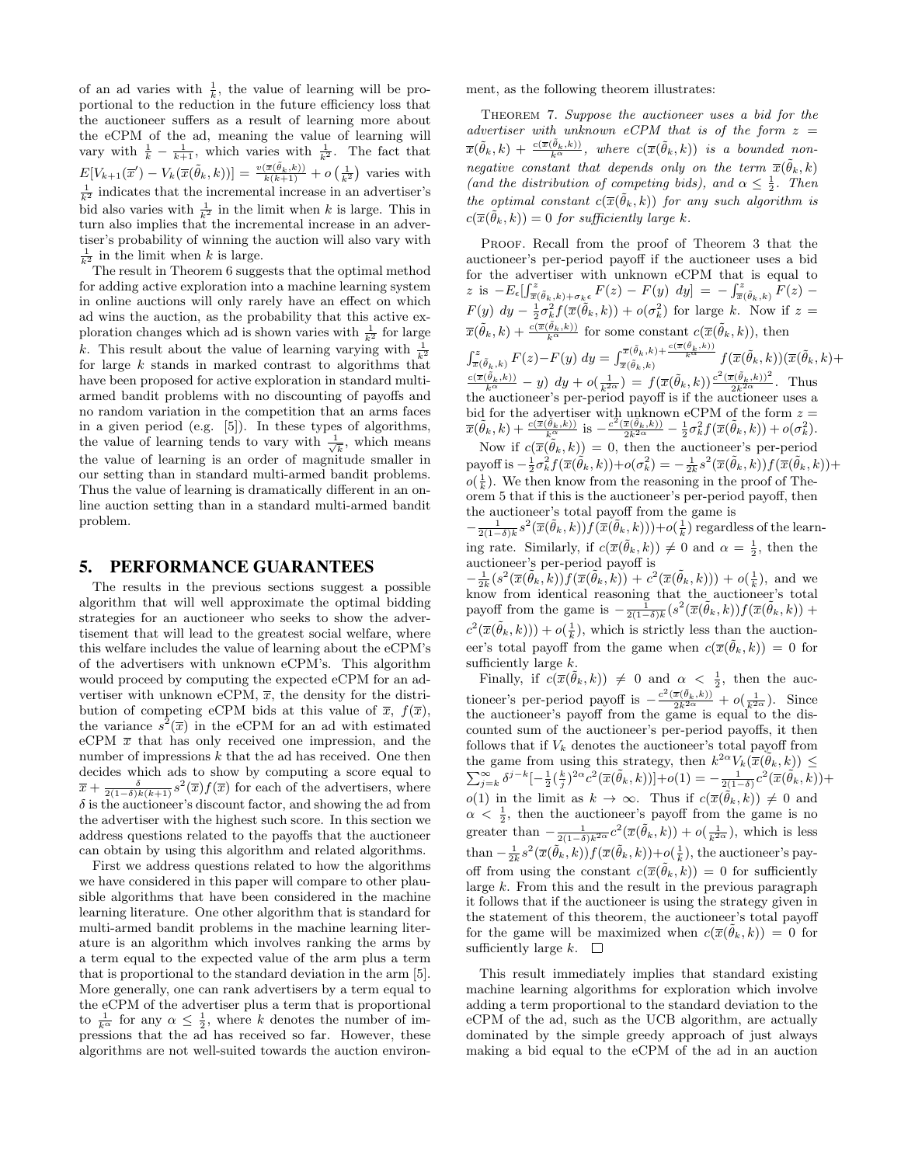of an ad varies with  $\frac{1}{k}$ , the value of learning will be proportional to the reduction in the future efficiency loss that the auctioneer suffers as a result of learning more about the eCPM of the ad, meaning the value of learning will vary with  $\frac{1}{k} - \frac{1}{k+1}$ , which varies with  $\frac{1}{k^2}$ . The fact that  $E[V_{k+1}(\overline{x}')] - V_k(\overline{x}(\tilde{\theta}_k, k))] = \frac{v(\overline{x}(\tilde{\theta}_k, k))}{k(k+1)} + o\left(\frac{1}{k^2}\right)$  varies with  $\frac{1}{k^2}$  indicates that the incremental increase in an advertiser's bid also varies with  $\frac{1}{k^2}$  in the limit when k is large. This in turn also implies that the incremental increase in an advertiser's probability of winning the auction will also vary with  $\frac{1}{k^2}$  in the limit when k is large.

The result in Theorem 6 suggests that the optimal method for adding active exploration into a machine learning system in online auctions will only rarely have an effect on which ad wins the auction, as the probability that this active exploration changes which ad is shown varies with  $\frac{1}{k^2}$  for large k. This result about the value of learning varying with  $\frac{1}{k^2}$ for large  $k$  stands in marked contrast to algorithms that have been proposed for active exploration in standard multiarmed bandit problems with no discounting of payoffs and no random variation in the competition that an arms faces in a given period (e.g. [5]). In these types of algorithms, the value of learning tends to vary with  $\frac{1}{\sqrt{k}}$ , which means the value of learning is an order of magnitude smaller in our setting than in standard multi-armed bandit problems. Thus the value of learning is dramatically different in an online auction setting than in a standard multi-armed bandit problem.

#### 5. PERFORMANCE GUARANTEES

The results in the previous sections suggest a possible algorithm that will well approximate the optimal bidding strategies for an auctioneer who seeks to show the advertisement that will lead to the greatest social welfare, where this welfare includes the value of learning about the eCPM's of the advertisers with unknown eCPM's. This algorithm would proceed by computing the expected eCPM for an advertiser with unknown eCPM,  $\bar{x}$ , the density for the distribution of competing eCPM bids at this value of  $\bar{x}$ ,  $f(\bar{x})$ , the variance  $s^2(\overline{x})$  in the eCPM for an ad with estimated eCPM  $\bar{x}$  that has only received one impression, and the number of impressions  $k$  that the ad has received. One then decides which ads to show by computing a score equal to  $\bar{x} + \frac{\delta}{2(1-\delta)k(k+1)}s^2(\bar{x})f(\bar{x})$  for each of the advertisers, where  $\delta$  is the auctioneer's discount factor, and showing the ad from the advertiser with the highest such score. In this section we address questions related to the payoffs that the auctioneer can obtain by using this algorithm and related algorithms.

First we address questions related to how the algorithms we have considered in this paper will compare to other plausible algorithms that have been considered in the machine learning literature. One other algorithm that is standard for multi-armed bandit problems in the machine learning literature is an algorithm which involves ranking the arms by a term equal to the expected value of the arm plus a term that is proportional to the standard deviation in the arm [5]. More generally, one can rank advertisers by a term equal to the eCPM of the advertiser plus a term that is proportional to  $\frac{1}{k^{\alpha}}$  for any  $\alpha \leq \frac{1}{2}$ , where k denotes the number of impressions that the ad has received so far. However, these algorithms are not well-suited towards the auction environment, as the following theorem illustrates:

THEOREM 7. Suppose the auctioneer uses a bid for the advertiser with unknown eCPM that is of the form  $z =$  $\overline{x}(\tilde{\theta}_k,k) + \frac{c(\overline{x}(\tilde{\theta}_k,k))}{k^{\alpha}}, \text{ where } c(\overline{x}(\tilde{\theta}_k,k)) \text{ is a bounded non$ negative constant that depends only on the term  $\overline{x}(\tilde{\theta}_k, k)$ (and the distribution of competing bids), and  $\alpha \leq \frac{1}{2}$ . Then the optimal constant  $c(\overline{x}(\tilde{\theta}_k,k))$  for any such algorithm is  $c(\overline{x}(\tilde{\theta}_k,k)) = 0$  for sufficiently large k.

PROOF. Recall from the proof of Theorem 3 that the auctioneer's per-period payoff if the auctioneer uses a bid for the advertiser with unknown eCPM that is equal to z is  $-E_{\epsilon} \left[ \int_{\overline{x}(\tilde{\theta}_k,k)+\sigma_k \epsilon}^x F(z) - F(y) \ dy \right] = - \int_{\overline{x}(\tilde{\theta}_k,k)}^z F(z) F(y) dy - \frac{1}{2}\sigma_k^2 f(\overline{x}(\tilde{\theta}_k, k)) + o(\sigma_k^2)$  for large k. Now if  $z =$  $\overline{x}(\tilde{\theta}_k, k) + \frac{c(\overline{x}(\tilde{\theta}_k, k))}{k^{\alpha}}$  for some constant  $c(\overline{x}(\tilde{\theta}_k, k))$ , then

 $\int_{\overline{x}(\tilde{\theta}_k,k)}^z F(z) - F(y) \ dy = \int_{\overline{x}(\tilde{\theta}_k,k)}^{\overline{x}(\tilde{\theta}_k,k)} \frac{e(\overline{x}(\tilde{\theta}_k,k))}{k^{\alpha}} f(\overline{x}(\tilde{\theta}_k,k)) (\overline{x}(\tilde{\theta}_k,k)) +$  $\frac{c(\overline{x}(\tilde{\theta}_k,k))}{k^{\alpha}} - y$   $dy + o(\frac{1}{k^{2\alpha}}) = f(\overline{x}(\tilde{\theta}_k,k)) \frac{c^2(\overline{x}(\tilde{\theta}_k,k))^2}{2k^{2\alpha}}$ . Thus the auctioneer's per-period payoff is if the auctioneer uses a bid for the advertiser with unknown eCPM of the form  $z =$  $\overline{x}(\tilde{\theta}_k, k) + \frac{c(\overline{x}(\tilde{\theta}_k, k))}{k^{\alpha}}$  is  $-\frac{c^2(\overline{x}(\tilde{\theta}_k, k))}{2k^2^{\alpha}} - \frac{1}{2}\sigma_k^2 f(\overline{x}(\tilde{\theta}_k, k)) + o(\sigma_k^2)$ .

Now if  $c(\overline{x}(\tilde{\theta}_k, k)) = 0$ , then the auctioneer's per-period payoff is  $-\frac{1}{2}\sigma_k^2 f(\overline{x}(\tilde{\theta}_k, k)) + o(\sigma_k^2) = -\frac{1}{2k} s^2 (\overline{x}(\tilde{\theta}_k, k)) f(\overline{x}(\tilde{\theta}_k, k)) +$  $o(\frac{1}{k})$ . We then know from the reasoning in the proof of Theorem 5 that if this is the auctioneer's per-period payoff, then the auctioneer's total payoff from the game is

 $-\frac{1}{2(1-\delta)k}s^2(\overline{x}(\tilde{\theta}_k,k))f(\overline{x}(\tilde{\theta}_k,k)))+o(\frac{1}{k})$  regardless of the learning rate. Similarly, if  $c(\bar{x}(\tilde{\theta}_k, k)) \neq 0$  and  $\alpha = \frac{1}{2}$ , then the auctioneer's per-period payoff is

 $-\frac{1}{2k}(s^2(\overline{x}(\tilde{\theta}_k, k))\overline{f}(\overline{x}(\tilde{\theta}_k, k)) + c^2(\overline{x}(\tilde{\theta}_k, k))) + o(\frac{1}{k}),$  and we know from identical reasoning that the auctioneer's total payoff from the game is  $-\frac{1}{2(1-\delta)k}(s^2(\overline{x}(\tilde{\theta}_k,k))f(\overline{x}(\tilde{\theta}_k,k))$  +  $c^2(\overline{x}(\tilde{\theta}_k, k))) + o(\frac{1}{k}),$  which is strictly less than the auctioneer's total payoff from the game when  $c(\overline{x}(\tilde{\theta}_k, k)) = 0$  for sufficiently large  $k$ .

Finally, if  $c(\overline{x}(\tilde{\theta}_k, k)) \neq 0$  and  $\alpha < \frac{1}{2}$ , then the auctioneer's per-period payoff is  $-\frac{c^2(\overline{x}(\tilde{\theta}_k,k))}{2k^{2\alpha}}+o(\frac{1}{k^{2\alpha}})$ . Since the auctioneer's payoff from the game is equal to the discounted sum of the auctioneer's per-period payoffs, it then follows that if  $V_k$  denotes the auctioneer's total payoff from the game from using this strategy, then  $k^{2\alpha}V_k(\overline{x}(\tilde{\theta}_k, k)) \leq$  $\sum_{j=k}^{\infty} \delta^{j-k} \left[-\frac{1}{2} \left(\frac{k}{j}\right)^{2\alpha} c^2 (\overline{x}(\tilde{\theta}_k, k))\right] + o(1) = -\frac{1}{2(1-\delta)} c^2 (\overline{x}(\tilde{\theta}_k, k)) + o(1)$  $o(1)$  in the limit as  $k \to \infty$ . Thus if  $c(\overline{x}(\tilde{\theta}_k, k)) \neq 0$  and  $\alpha < \frac{1}{2}$ , then the auctioneer's payoff from the game is no greater than  $-\frac{1}{2(1-\delta)k^{2\alpha}}c^2(\overline{x}(\tilde{\theta}_k,k)) + o(\frac{1}{k^{2\alpha}})$ , which is less than  $-\frac{1}{2k}s^2(\overline{x}(\tilde{\theta}_k,k))f(\overline{x}(\tilde{\theta}_k,k))+o(\frac{1}{k}),$  the auctioneer's payoff from using the constant  $c(\overline{x}(\tilde{\theta}_k, k)) = 0$  for sufficiently large  $k$ . From this and the result in the previous paragraph it follows that if the auctioneer is using the strategy given in the statement of this theorem, the auctioneer's total payoff for the game will be maximized when  $c(\bar{x}(\tilde{\theta}_k, k)) = 0$  for sufficiently large  $k$ .  $\Box$ 

This result immediately implies that standard existing machine learning algorithms for exploration which involve adding a term proportional to the standard deviation to the eCPM of the ad, such as the UCB algorithm, are actually dominated by the simple greedy approach of just always making a bid equal to the eCPM of the ad in an auction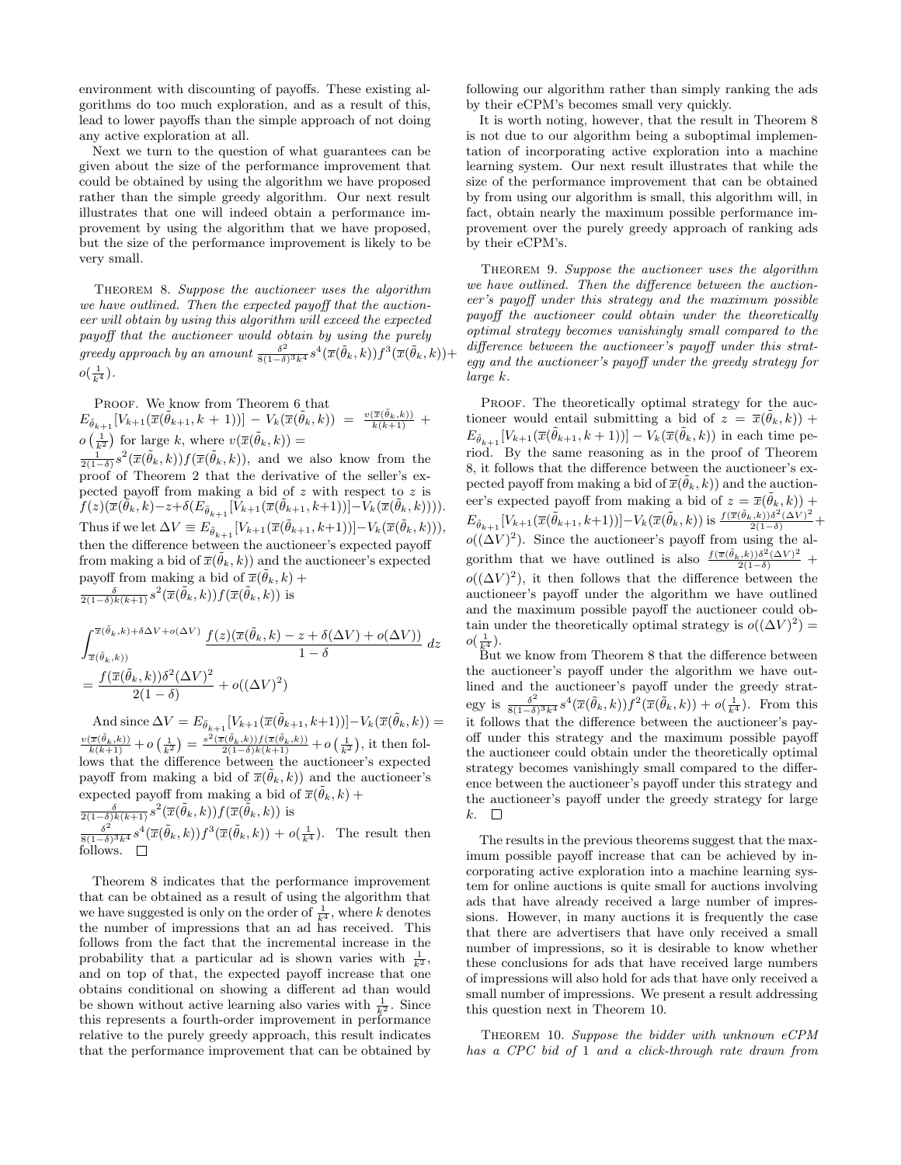environment with discounting of payoffs. These existing algorithms do too much exploration, and as a result of this, lead to lower payoffs than the simple approach of not doing any active exploration at all.

Next we turn to the question of what guarantees can be given about the size of the performance improvement that could be obtained by using the algorithm we have proposed rather than the simple greedy algorithm. Our next result illustrates that one will indeed obtain a performance improvement by using the algorithm that we have proposed, but the size of the performance improvement is likely to be very small.

THEOREM 8. Suppose the auctioneer uses the algorithm we have outlined. Then the expected payoff that the auctioneer will obtain by using this algorithm will exceed the expected payoff that the auctioneer would obtain by using the purely greedy approach by an amount  $\frac{\delta^2}{8(1-\delta)}$  $\frac{\delta^2}{8(1-\delta)^3k^4} s^4(\overline{x}(\tilde{\theta}_k,k))f^3(\overline{x}(\tilde{\theta}_k,k))+$  $o(\frac{1}{k^4})$ .

PROOF. We know from Theorem 6 that  $E_{\tilde{\theta}_{k+1}}[V_{k+1}(\overline{x}(\tilde{\theta}_{k+1},k+1))] - V_k(\overline{x}(\tilde{\theta}_{k},k)) = \frac{v(\overline{x}(\tilde{\theta}_{k},k))}{k(k+1)} +$  $o\left(\frac{1}{k^2}\right)$  for large k, where  $v(\overline{x}(\tilde{\theta}_k, k)) =$  $\frac{1}{2(1-\delta)}s^2(\overline{x}(\tilde{\theta}_k,k))f(\overline{x}(\tilde{\theta}_k,k)),$  and we also know from the

proof of Theorem 2 that the derivative of the seller's expected payoff from making a bid of  $z$  with respect to  $z$  is  $\bigl[\widehat f(z)(\overline x(\tilde\theta_k,k)-z+\delta(E_{\tilde\theta_{k+1}}[\widecheck V_{k+1}(\overline x(\tilde\theta_{k+1},k+1))]-\widehat V_k(\overline x(\tilde\theta_k,k)))\bigr].$ Thus if we let  $\Delta V \equiv E_{\tilde{\theta}_{k+1}}[V_{k+1}(\overline{x}(\tilde{\theta}_{k+1},k+1))] - V_k(\overline{x}(\tilde{\theta}_k,k)))$ , then the difference between the auctioneer's expected payoff from making a bid of  $\overline{x}(\tilde{\theta}_k, k)$  and the auctioneer's expected payoff from making a bid of  $\overline{x}(\tilde{\theta}_k, k)$  +  $\frac{\delta}{2(1-\delta)k(k+1)}s^2(\overline{x}(\tilde{\theta}_k,k))f(\overline{x}(\tilde{\theta}_k,k))$  is

$$
\int_{\overline{x}(\tilde{\theta}_k, k) + \delta \Delta V + o(\Delta V)}^{\overline{x}(\tilde{\theta}_k, k) + \delta \Delta V + o(\Delta V)} \frac{f(z)(\overline{x}(\tilde{\theta}_k, k) - z + \delta(\Delta V) + o(\Delta V))}{1 - \delta} dz
$$

$$
= \frac{f(\overline{x}(\tilde{\theta}_k, k))\delta^2(\Delta V)^2}{2(1 - \delta)} + o((\Delta V)^2)
$$

And since  $\Delta V = E_{\tilde{\theta}_{k+1}}[V_{k+1}(\overline{x}(\tilde{\theta}_{k+1}, k+1))] - V_k(\overline{x}(\tilde{\theta}_k, k)) =$  $\frac{v(\overline{x}(\tilde{\theta}_k,k))}{k(k+1)} + o\left(\frac{1}{k^2}\right) = \frac{s^2(\overline{x}(\tilde{\theta}_k,k))f(\overline{x}(\tilde{\theta}_k,k))}{2(1-\delta)k(k+1)} + o\left(\frac{1}{k^2}\right)$ , it then follows that the difference between the auctioneer's expected payoff from making a bid of  $\overline{x}(\tilde{\theta}_k, k)$  and the auctioneer's expected payoff from making a bid of  $\overline{x}(\tilde{\theta}_k, k)$  +

 $\frac{\delta}{2(1-\delta)k(k+1)}s^2(\overline{x}(\tilde{\theta}_k,k))f(\overline{x}(\tilde{\theta}_k,k))$  is  $\delta^2$  $\frac{\delta^2}{8(1-\delta)^3k^4} s^4(\overline{x}(\tilde{\theta}_k,k))f^3(\overline{x}(\tilde{\theta}_k,k)) + o(\frac{1}{k^4}).$  The result then follows.

Theorem 8 indicates that the performance improvement that can be obtained as a result of using the algorithm that we have suggested is only on the order of  $\frac{1}{k^4}$ , where k denotes the number of impressions that an ad has received. This follows from the fact that the incremental increase in the probability that a particular ad is shown varies with  $\frac{1}{k^2}$ , and on top of that, the expected payoff increase that one obtains conditional on showing a different ad than would be shown without active learning also varies with  $\frac{1}{k^2}$ . Since this represents a fourth-order improvement in performance relative to the purely greedy approach, this result indicates that the performance improvement that can be obtained by

following our algorithm rather than simply ranking the ads by their eCPM's becomes small very quickly.

It is worth noting, however, that the result in Theorem 8 is not due to our algorithm being a suboptimal implementation of incorporating active exploration into a machine learning system. Our next result illustrates that while the size of the performance improvement that can be obtained by from using our algorithm is small, this algorithm will, in fact, obtain nearly the maximum possible performance improvement over the purely greedy approach of ranking ads by their eCPM's.

THEOREM 9. Suppose the auctioneer uses the algorithm we have outlined. Then the difference between the auctioneer's payoff under this strategy and the maximum possible payoff the auctioneer could obtain under the theoretically optimal strategy becomes vanishingly small compared to the difference between the auctioneer's payoff under this strategy and the auctioneer's payoff under the greedy strategy for large k.

PROOF. The theoretically optimal strategy for the auctioneer would entail submitting a bid of  $z = \bar{x}(\tilde{\theta}_k, k)$  +  $E_{\tilde{\theta}_{k+1}}[V_{k+1}(\overline{x}(\tilde{\theta}_{k+1},k+1))] - V_k(\overline{x}(\tilde{\theta}_k,k))$  in each time period. By the same reasoning as in the proof of Theorem 8, it follows that the difference between the auctioneer's expected payoff from making a bid of  $\overline{x}(\tilde{\theta}_k, k)$  and the auctioneer's expected payoff from making a bid of  $z = \overline{x}(\tilde{\theta}_k, k)$  +  $E_{\tilde{\theta}_{k+1}}[V_{k+1}(\overline{x}(\tilde{\theta}_{k+1},k+1))] - V_k(\overline{x}(\tilde{\theta}_k,k))$  is  $\frac{f(\overline{x}(\tilde{\theta}_k,k))\delta^2(\Delta V)^2}{2(1-\delta)}$  $o((\Delta V)^2)$ . Since the auctioneer's payoff from using the algorithm that we have outlined is also  $\frac{f(\overline{x}(\tilde{\theta}_k,k))\delta^2(\Delta V)^2}{2(1-\delta)}$  +  $o((\Delta V)^2)$ , it then follows that the difference between the auctioneer's payoff under the algorithm we have outlined and the maximum possible payoff the auctioneer could obtain under the theoretically optimal strategy is  $o((\Delta V)^2)$  =  $o(\frac{1}{k^4}).$ 

But we know from Theorem 8 that the difference between the auctioneer's payoff under the algorithm we have outlined and the auctioneer's payoff under the greedy strategy is  $\frac{\delta^2}{8(1-\delta)}$  $\frac{\delta^2}{8(1-\delta)^3k^4} s^4(\overline{x}(\tilde{\theta}_k,k))f^2(\overline{x}(\tilde{\theta}_k,k)) + o(\frac{1}{k^4})$ . From this it follows that the difference between the auctioneer's payoff under this strategy and the maximum possible payoff the auctioneer could obtain under the theoretically optimal strategy becomes vanishingly small compared to the difference between the auctioneer's payoff under this strategy and the auctioneer's payoff under the greedy strategy for large  $k.$   $\Box$ 

The results in the previous theorems suggest that the maximum possible payoff increase that can be achieved by incorporating active exploration into a machine learning system for online auctions is quite small for auctions involving ads that have already received a large number of impressions. However, in many auctions it is frequently the case that there are advertisers that have only received a small number of impressions, so it is desirable to know whether these conclusions for ads that have received large numbers of impressions will also hold for ads that have only received a small number of impressions. We present a result addressing this question next in Theorem 10.

THEOREM 10. Suppose the bidder with unknown eCPM has a CPC bid of 1 and a click-through rate drawn from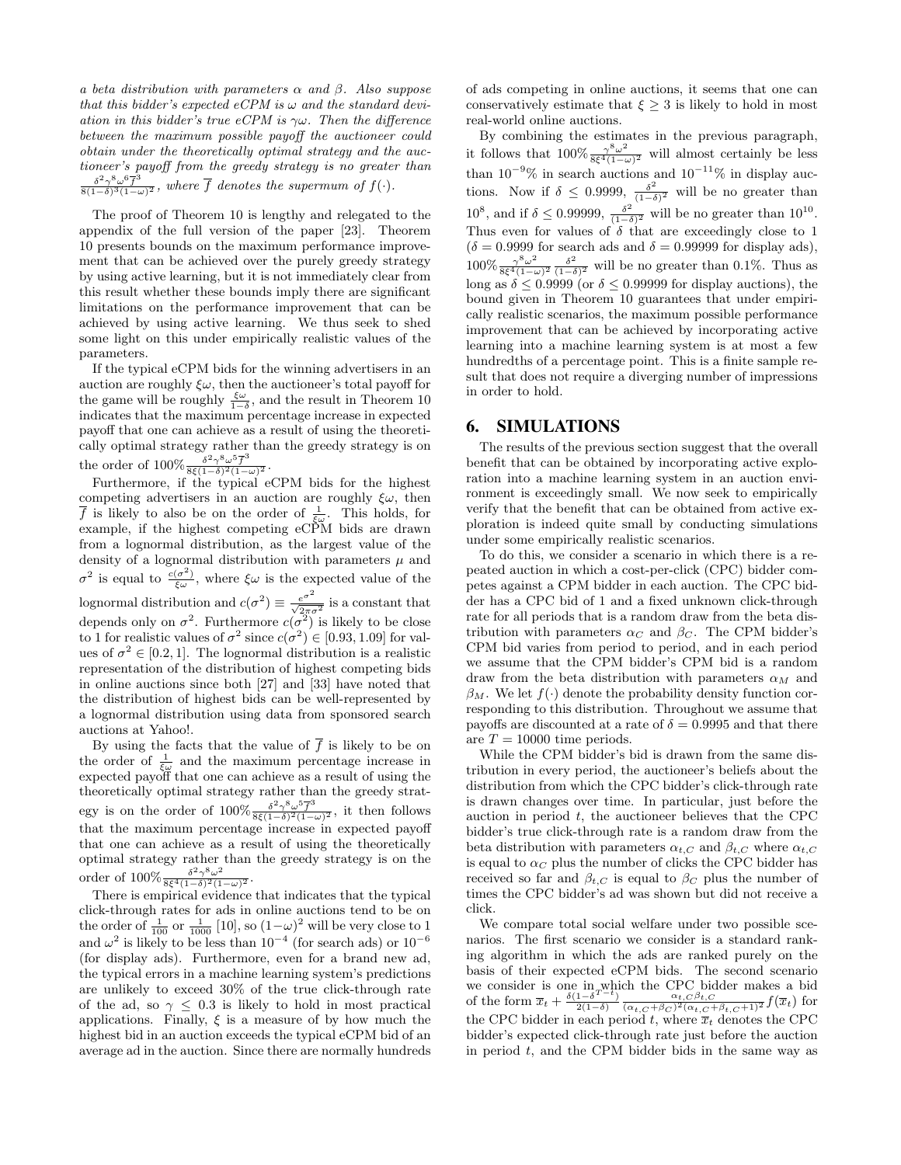a beta distribution with parameters  $\alpha$  and  $\beta$ . Also suppose that this bidder's expected eCPM is  $\omega$  and the standard deviation in this bidder's true eCPM is  $\gamma\omega$ . Then the difference between the maximum possible payoff the auctioneer could obtain under the theoretically optimal strategy and the auctioneer's payoff from the greedy strategy is no greater than  $\delta^2 \gamma^8 \omega^6 \overline{f}^3$  $\frac{\delta^2 \gamma^2 \omega^3 f}{8(1-\delta)^3(1-\omega)^2}$ , where f denotes the supermum of  $f(\cdot)$ .

The proof of Theorem 10 is lengthy and relegated to the appendix of the full version of the paper [23]. Theorem 10 presents bounds on the maximum performance improvement that can be achieved over the purely greedy strategy by using active learning, but it is not immediately clear from this result whether these bounds imply there are significant limitations on the performance improvement that can be achieved by using active learning. We thus seek to shed some light on this under empirically realistic values of the parameters.

If the typical eCPM bids for the winning advertisers in an auction are roughly  $\xi\omega$ , then the auctioneer's total payoff for the game will be roughly  $\frac{\xi\omega}{1-\delta}$ , and the result in Theorem 10 indicates that the maximum percentage increase in expected payoff that one can achieve as a result of using the theoretically optimal strategy rather than the greedy strategy is on the order of  $100\% \frac{\delta^2 \gamma^8 \omega^5 \bar{f}^3}{85(1-\delta)^2(1-\delta)^2}$  $\frac{\delta^2 \gamma^6 \omega^6 f^4}{8\xi(1-\delta)^2(1-\omega)^2}.$ 

Furthermore, if the typical eCPM bids for the highest competing advertisers in an auction are roughly  $\xi \omega$ , then  $\overline{f}$  is likely to also be on the order of  $\frac{1}{\xi\omega}$ . This holds, for example, if the highest competing eCPM bids are drawn from a lognormal distribution, as the largest value of the density of a lognormal distribution with parameters  $\mu$  and  $\sigma^2$  is equal to  $\frac{c(\sigma^2)}{\xi \omega}$ , where  $\xi \omega$  is the expected value of the lognormal distribution and  $c(\sigma^2) \equiv \frac{e^{\sigma^2}}{\sqrt{2\pi\sigma^2}}$  is a constant that depends only on  $\sigma^2$ . Furthermore  $c(\sigma^2)$  is likely to be close to 1 for realistic values of  $\sigma^2$  since  $c(\sigma^2) \in [0.93, 1.09]$  for values of  $\sigma^2 \in [0.2, 1]$ . The lognormal distribution is a realistic representation of the distribution of highest competing bids in online auctions since both [27] and [33] have noted that the distribution of highest bids can be well-represented by a lognormal distribution using data from sponsored search auctions at Yahoo!.

By using the facts that the value of  $\overline{f}$  is likely to be on the order of  $\frac{1}{\xi\omega}$  and the maximum percentage increase in expected payoff that one can achieve as a result of using the theoretically optimal strategy rather than the greedy strategy is on the order of  $100\% \frac{\delta^2 \gamma^8 \omega^5 \bar{f}^3}{85(1-\delta)^2(1-\delta)^2}$  $\frac{\delta^2 \gamma^{\omega} \omega^{\omega} f}{8 \xi (1-\delta)^2 (1-\omega)^2}$ , it then follows that the maximum percentage increase in expected payoff that one can achieve as a result of using the theoretically optimal strategy rather than the greedy strategy is on the order of  $100\% \frac{\delta^2 \gamma^8 \omega^2}{864(1-\delta)^2}$  $\frac{\delta^2 \gamma^6 \omega^2}{8\xi^4 (1-\delta)^2 (1-\omega)^2}.$ 

There is empirical evidence that indicates that the typical click-through rates for ads in online auctions tend to be on the order of  $\frac{1}{100}$  or  $\frac{1}{1000}$  [10], so  $(1-\omega)^2$  will be very close to 1 and  $\omega^2$  is likely to be less than 10<sup>-4</sup> (for search ads) or 10<sup>-6</sup> (for display ads). Furthermore, even for a brand new ad, the typical errors in a machine learning system's predictions are unlikely to exceed 30% of the true click-through rate of the ad, so  $\gamma \leq 0.3$  is likely to hold in most practical applications. Finally,  $\xi$  is a measure of by how much the highest bid in an auction exceeds the typical eCPM bid of an average ad in the auction. Since there are normally hundreds of ads competing in online auctions, it seems that one can conservatively estimate that  $\xi \geq 3$  is likely to hold in most real-world online auctions.

By combining the estimates in the previous paragraph, it follows that  $100\% \frac{\gamma^8 \omega^2}{854(1-\gamma)}$  $\frac{\gamma^{\omega}\omega^2}{8\xi^4(1-\omega)^2}$  will almost certainly be less than  $10^{-9}\%$  in search auctions and  $10^{-11}\%$  in display auctions. Now if  $\delta \leq 0.9999$ ,  $\frac{\delta^2}{\delta(1-\delta)}$  $\frac{\delta^2}{(1-\delta)^2}$  will be no greater than 10<sup>8</sup>, and if  $\delta \le 0.99999, \frac{\delta^2}{\delta}$  $\frac{\delta^2}{(1-\delta)^2}$  will be no greater than  $10^{10}$ . Thus even for values of  $\delta$  that are exceedingly close to 1  $(\delta = 0.9999$  for search ads and  $\delta = 0.99999$  for display ads),  $100\% \frac{\gamma^8 \omega^2}{864(1-\gamma)}$  $\frac{\gamma^8 \omega^2}{8\xi^4 (1-\omega)^2} \frac{\delta^2}{(1-\delta)^2}$  $\frac{\delta^2}{(1-\delta)^2}$  will be no greater than 0.1%. Thus as long as  $\delta \leq 0.9999$  (or  $\delta \leq 0.99999$  for display auctions), the bound given in Theorem 10 guarantees that under empirically realistic scenarios, the maximum possible performance improvement that can be achieved by incorporating active learning into a machine learning system is at most a few hundredths of a percentage point. This is a finite sample result that does not require a diverging number of impressions in order to hold.

## 6. SIMULATIONS

The results of the previous section suggest that the overall benefit that can be obtained by incorporating active exploration into a machine learning system in an auction environment is exceedingly small. We now seek to empirically verify that the benefit that can be obtained from active exploration is indeed quite small by conducting simulations under some empirically realistic scenarios.

To do this, we consider a scenario in which there is a repeated auction in which a cost-per-click (CPC) bidder competes against a CPM bidder in each auction. The CPC bidder has a CPC bid of 1 and a fixed unknown click-through rate for all periods that is a random draw from the beta distribution with parameters  $\alpha_C$  and  $\beta_C$ . The CPM bidder's CPM bid varies from period to period, and in each period we assume that the CPM bidder's CPM bid is a random draw from the beta distribution with parameters  $\alpha_M$  and  $\beta_M$ . We let  $f(\cdot)$  denote the probability density function corresponding to this distribution. Throughout we assume that payoffs are discounted at a rate of  $\delta = 0.9995$  and that there are  $T = 10000$  time periods.

While the CPM bidder's bid is drawn from the same distribution in every period, the auctioneer's beliefs about the distribution from which the CPC bidder's click-through rate is drawn changes over time. In particular, just before the auction in period  $t$ , the auctioneer believes that the CPC bidder's true click-through rate is a random draw from the beta distribution with parameters  $\alpha_{t,C}$  and  $\beta_{t,C}$  where  $\alpha_{t,C}$ is equal to  $\alpha_C$  plus the number of clicks the CPC bidder has received so far and  $\beta_{t,C}$  is equal to  $\beta_C$  plus the number of times the CPC bidder's ad was shown but did not receive a click.

We compare total social welfare under two possible scenarios. The first scenario we consider is a standard ranking algorithm in which the ads are ranked purely on the basis of their expected eCPM bids. The second scenario we consider is one in which the CPC bidder makes a bid of the form  $\overline{x}_t + \frac{\delta(1-\delta^{T-t})}{2(1-\delta)} \frac{\alpha_{t,C}\beta_{t,C}}{(\alpha_{t,C}+\beta_C)^2(\alpha_{t,C})}$  $\frac{\alpha_{t,C} \mu_{t,C}}{(\alpha_{t,C} + \beta_C)^2 (\alpha_{t,C} + \beta_{t,C} + 1)^2} f(\overline{x}_t)$  for the CPC bidder in each period t, where  $\overline{x}_t$  denotes the CPC bidder's expected click-through rate just before the auction in period  $t$ , and the CPM bidder bids in the same way as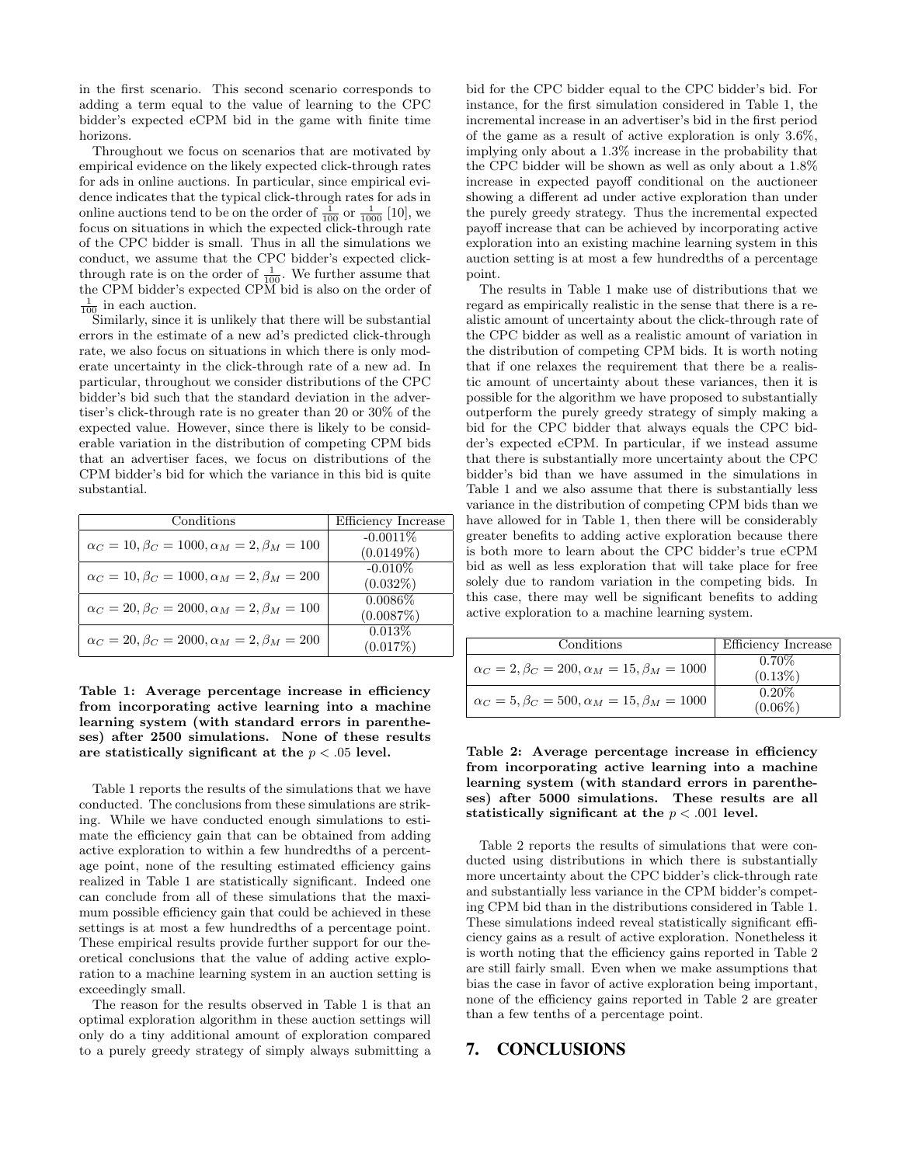in the first scenario. This second scenario corresponds to adding a term equal to the value of learning to the CPC bidder's expected eCPM bid in the game with finite time horizons.

Throughout we focus on scenarios that are motivated by empirical evidence on the likely expected click-through rates for ads in online auctions. In particular, since empirical evidence indicates that the typical click-through rates for ads in online auctions tend to be on the order of  $\frac{1}{100}$  or  $\frac{1}{1000}$  [10], we focus on situations in which the expected click-through rate of the CPC bidder is small. Thus in all the simulations we conduct, we assume that the CPC bidder's expected clickthrough rate is on the order of  $\frac{1}{100}$ . We further assume that the CPM bidder's expected CPM bid is also on the order of  $\frac{1}{100}$  in each auction.

Similarly, since it is unlikely that there will be substantial errors in the estimate of a new ad's predicted click-through rate, we also focus on situations in which there is only moderate uncertainty in the click-through rate of a new ad. In particular, throughout we consider distributions of the CPC bidder's bid such that the standard deviation in the advertiser's click-through rate is no greater than 20 or 30% of the expected value. However, since there is likely to be considerable variation in the distribution of competing CPM bids that an advertiser faces, we focus on distributions of the CPM bidder's bid for which the variance in this bid is quite substantial.

| Conditions                                                   | Efficiency Increase         |
|--------------------------------------------------------------|-----------------------------|
| $\alpha_C = 10, \beta_C = 1000, \alpha_M = 2, \beta_M = 100$ | $-0.0011\%$<br>$(0.0149\%)$ |
| $\alpha_C = 10, \beta_C = 1000, \alpha_M = 2, \beta_M = 200$ | $-0.010\%$<br>$(0.032\%)$   |
| $\alpha_C = 20, \beta_C = 2000, \alpha_M = 2, \beta_M = 100$ | $0.0086\%$<br>(0.0087%)     |
| $\alpha_C = 20, \beta_C = 2000, \alpha_M = 2, \beta_M = 200$ | 0.013%<br>(0.017%)          |

Table 1: Average percentage increase in efficiency from incorporating active learning into a machine learning system (with standard errors in parentheses) after 2500 simulations. None of these results are statistically significant at the  $p < .05$  level.

Table 1 reports the results of the simulations that we have conducted. The conclusions from these simulations are striking. While we have conducted enough simulations to estimate the efficiency gain that can be obtained from adding active exploration to within a few hundredths of a percentage point, none of the resulting estimated efficiency gains realized in Table 1 are statistically significant. Indeed one can conclude from all of these simulations that the maximum possible efficiency gain that could be achieved in these settings is at most a few hundredths of a percentage point. These empirical results provide further support for our theoretical conclusions that the value of adding active exploration to a machine learning system in an auction setting is exceedingly small.

The reason for the results observed in Table 1 is that an optimal exploration algorithm in these auction settings will only do a tiny additional amount of exploration compared to a purely greedy strategy of simply always submitting a bid for the CPC bidder equal to the CPC bidder's bid. For instance, for the first simulation considered in Table 1, the incremental increase in an advertiser's bid in the first period of the game as a result of active exploration is only 3.6%, implying only about a 1.3% increase in the probability that the CPC bidder will be shown as well as only about a 1.8% increase in expected payoff conditional on the auctioneer showing a different ad under active exploration than under the purely greedy strategy. Thus the incremental expected payoff increase that can be achieved by incorporating active exploration into an existing machine learning system in this auction setting is at most a few hundredths of a percentage point.

The results in Table 1 make use of distributions that we regard as empirically realistic in the sense that there is a realistic amount of uncertainty about the click-through rate of the CPC bidder as well as a realistic amount of variation in the distribution of competing CPM bids. It is worth noting that if one relaxes the requirement that there be a realistic amount of uncertainty about these variances, then it is possible for the algorithm we have proposed to substantially outperform the purely greedy strategy of simply making a bid for the CPC bidder that always equals the CPC bidder's expected eCPM. In particular, if we instead assume that there is substantially more uncertainty about the CPC bidder's bid than we have assumed in the simulations in Table 1 and we also assume that there is substantially less variance in the distribution of competing CPM bids than we have allowed for in Table 1, then there will be considerably greater benefits to adding active exploration because there is both more to learn about the CPC bidder's true eCPM bid as well as less exploration that will take place for free solely due to random variation in the competing bids. In this case, there may well be significant benefits to adding active exploration to a machine learning system.

| Conditions                                                   | Efficiency Increase    |
|--------------------------------------------------------------|------------------------|
| $\alpha_C = 2, \beta_C = 200, \alpha_M = 15, \beta_M = 1000$ | $0.70\%$<br>$(0.13\%)$ |
| $\alpha_C = 5, \beta_C = 500, \alpha_M = 15, \beta_M = 1000$ | $0.20\%$<br>$(0.06\%)$ |

Table 2: Average percentage increase in efficiency from incorporating active learning into a machine learning system (with standard errors in parentheses) after 5000 simulations. These results are all statistically significant at the  $p < .001$  level.

Table 2 reports the results of simulations that were conducted using distributions in which there is substantially more uncertainty about the CPC bidder's click-through rate and substantially less variance in the CPM bidder's competing CPM bid than in the distributions considered in Table 1. These simulations indeed reveal statistically significant efficiency gains as a result of active exploration. Nonetheless it is worth noting that the efficiency gains reported in Table 2 are still fairly small. Even when we make assumptions that bias the case in favor of active exploration being important, none of the efficiency gains reported in Table 2 are greater than a few tenths of a percentage point.

### 7. CONCLUSIONS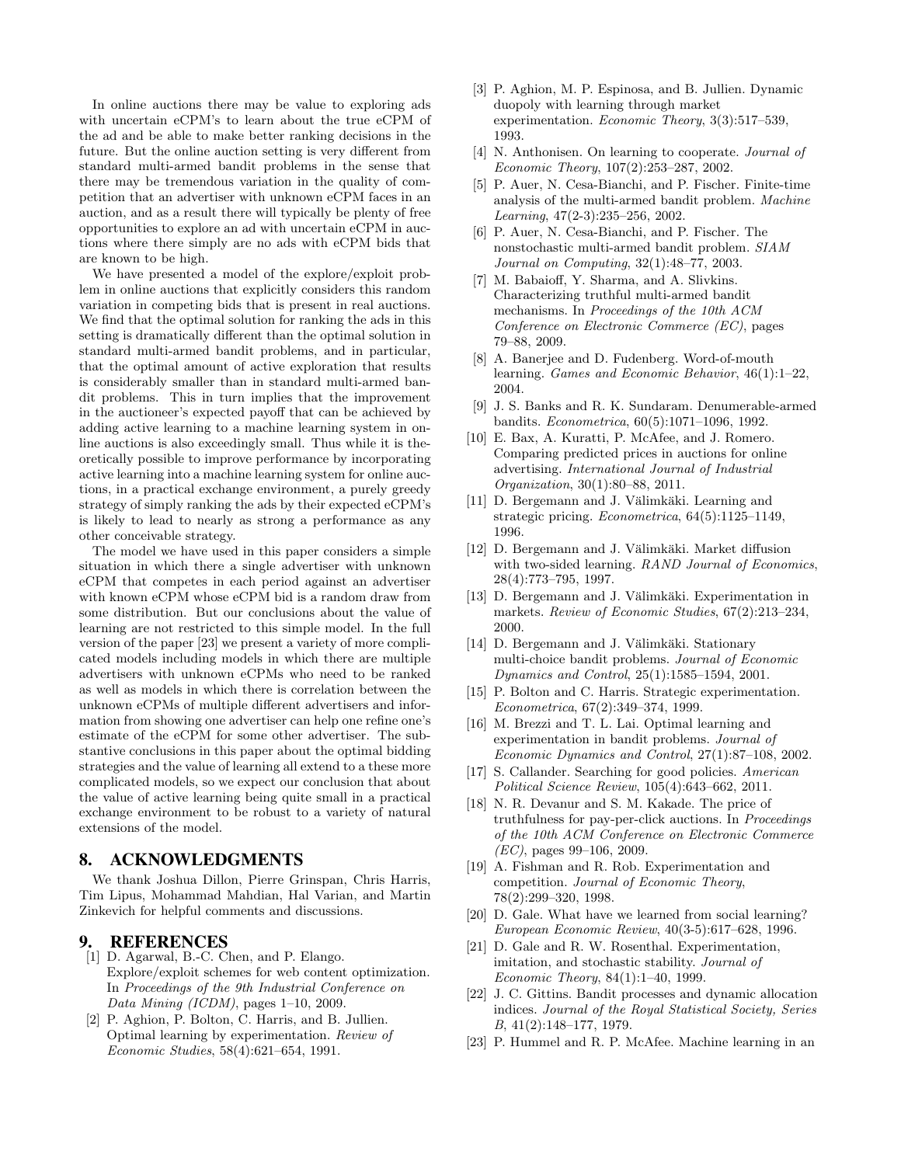In online auctions there may be value to exploring ads with uncertain eCPM's to learn about the true eCPM of the ad and be able to make better ranking decisions in the future. But the online auction setting is very different from standard multi-armed bandit problems in the sense that there may be tremendous variation in the quality of competition that an advertiser with unknown eCPM faces in an auction, and as a result there will typically be plenty of free opportunities to explore an ad with uncertain eCPM in auctions where there simply are no ads with eCPM bids that are known to be high.

We have presented a model of the explore/exploit problem in online auctions that explicitly considers this random variation in competing bids that is present in real auctions. We find that the optimal solution for ranking the ads in this setting is dramatically different than the optimal solution in standard multi-armed bandit problems, and in particular, that the optimal amount of active exploration that results is considerably smaller than in standard multi-armed bandit problems. This in turn implies that the improvement in the auctioneer's expected payoff that can be achieved by adding active learning to a machine learning system in online auctions is also exceedingly small. Thus while it is theoretically possible to improve performance by incorporating active learning into a machine learning system for online auctions, in a practical exchange environment, a purely greedy strategy of simply ranking the ads by their expected eCPM's is likely to lead to nearly as strong a performance as any other conceivable strategy.

The model we have used in this paper considers a simple situation in which there a single advertiser with unknown eCPM that competes in each period against an advertiser with known eCPM whose eCPM bid is a random draw from some distribution. But our conclusions about the value of learning are not restricted to this simple model. In the full version of the paper [23] we present a variety of more complicated models including models in which there are multiple advertisers with unknown eCPMs who need to be ranked as well as models in which there is correlation between the unknown eCPMs of multiple different advertisers and information from showing one advertiser can help one refine one's estimate of the eCPM for some other advertiser. The substantive conclusions in this paper about the optimal bidding strategies and the value of learning all extend to a these more complicated models, so we expect our conclusion that about the value of active learning being quite small in a practical exchange environment to be robust to a variety of natural extensions of the model.

# 8. ACKNOWLEDGMENTS

We thank Joshua Dillon, Pierre Grinspan, Chris Harris, Tim Lipus, Mohammad Mahdian, Hal Varian, and Martin Zinkevich for helpful comments and discussions.

#### 9. REFERENCES

- [1] D. Agarwal, B.-C. Chen, and P. Elango. Explore/exploit schemes for web content optimization. In Proceedings of the 9th Industrial Conference on Data Mining (ICDM), pages 1–10, 2009.
- [2] P. Aghion, P. Bolton, C. Harris, and B. Jullien. Optimal learning by experimentation. Review of Economic Studies, 58(4):621–654, 1991.
- [3] P. Aghion, M. P. Espinosa, and B. Jullien. Dynamic duopoly with learning through market experimentation. Economic Theory, 3(3):517–539, 1993.
- [4] N. Anthonisen. On learning to cooperate. Journal of Economic Theory, 107(2):253–287, 2002.
- [5] P. Auer, N. Cesa-Bianchi, and P. Fischer. Finite-time analysis of the multi-armed bandit problem. Machine Learning, 47(2-3):235–256, 2002.
- [6] P. Auer, N. Cesa-Bianchi, and P. Fischer. The nonstochastic multi-armed bandit problem. SIAM Journal on Computing, 32(1):48–77, 2003.
- [7] M. Babaioff, Y. Sharma, and A. Slivkins. Characterizing truthful multi-armed bandit mechanisms. In Proceedings of the 10th ACM Conference on Electronic Commerce (EC), pages 79–88, 2009.
- [8] A. Banerjee and D. Fudenberg. Word-of-mouth learning. Games and Economic Behavior, 46(1):1–22, 2004.
- [9] J. S. Banks and R. K. Sundaram. Denumerable-armed bandits. Econometrica, 60(5):1071–1096, 1992.
- [10] E. Bax, A. Kuratti, P. McAfee, and J. Romero. Comparing predicted prices in auctions for online advertising. International Journal of Industrial Organization, 30(1):80–88, 2011.
- [11] D. Bergemann and J. Välimkäki. Learning and strategic pricing. Econometrica, 64(5):1125–1149, 1996.
- [12] D. Bergemann and J. Välimkäki. Market diffusion with two-sided learning. RAND Journal of Economics, 28(4):773–795, 1997.
- [13] D. Bergemann and J. Välimkäki. Experimentation in markets. Review of Economic Studies, 67(2):213-234, 2000.
- [14] D. Bergemann and J. Välimkäki. Stationary multi-choice bandit problems. Journal of Economic Dynamics and Control, 25(1):1585–1594, 2001.
- [15] P. Bolton and C. Harris. Strategic experimentation. Econometrica, 67(2):349–374, 1999.
- [16] M. Brezzi and T. L. Lai. Optimal learning and experimentation in bandit problems. Journal of Economic Dynamics and Control, 27(1):87–108, 2002.
- [17] S. Callander. Searching for good policies. American Political Science Review, 105(4):643–662, 2011.
- [18] N. R. Devanur and S. M. Kakade. The price of truthfulness for pay-per-click auctions. In Proceedings of the 10th ACM Conference on Electronic Commerce  $(EC)$ , pages 99–106, 2009.
- [19] A. Fishman and R. Rob. Experimentation and competition. Journal of Economic Theory, 78(2):299–320, 1998.
- [20] D. Gale. What have we learned from social learning? European Economic Review, 40(3-5):617–628, 1996.
- [21] D. Gale and R. W. Rosenthal. Experimentation, imitation, and stochastic stability. Journal of Economic Theory, 84(1):1–40, 1999.
- [22] J. C. Gittins. Bandit processes and dynamic allocation indices. Journal of the Royal Statistical Society, Series B, 41(2):148–177, 1979.
- [23] P. Hummel and R. P. McAfee. Machine learning in an